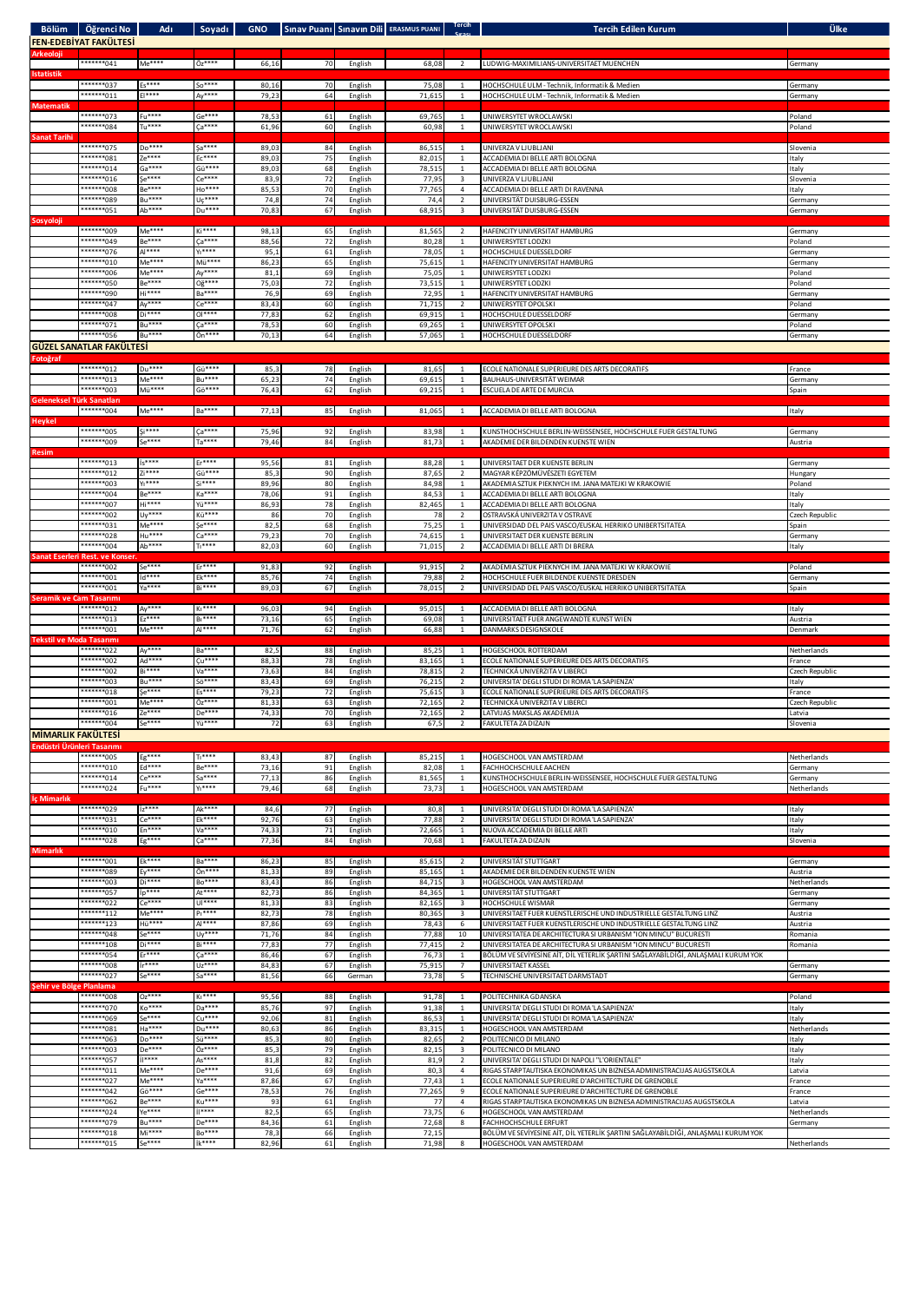|                                 | Bölüm Öğrenci No                             | <b>Adi</b>                 |                                |                |          |                    | Soyadı GNO Sınav Puanı Sınavın Dili ERASMUS PUANI Tercih |                                | <b>Tercih Edilen Kurum</b>                                                                                                           | Ülke                     |
|---------------------------------|----------------------------------------------|----------------------------|--------------------------------|----------------|----------|--------------------|----------------------------------------------------------|--------------------------------|--------------------------------------------------------------------------------------------------------------------------------------|--------------------------|
| Arkeoloji                       | <b>FEN-EDEBİYAT FAKÜLTESİ</b>                |                            |                                |                |          |                    |                                                          |                                |                                                                                                                                      |                          |
|                                 | ********041                                  | Me****                     | $0z***$                        | 66,16          | 70       | English            | 68,08                                                    | $\overline{2}$                 | LUDWIG-MAXIMILIANS-UNIVERSITAET MUENCHEN                                                                                             | Germany                  |
| <b>Istatistik</b>               | *******037                                   | Es****                     | So****                         | 80,16          | 70       | English            | 75,08                                                    | <sup>1</sup>                   | HOCHSCHULE ULM - Technik, Informatik & Medien                                                                                        | Germany                  |
| <b>Matematik</b>                | ********011                                  | $E ***$                    | $Ay***$                        | 79,23          | 64       | English            | 71,615                                                   | $\mathbf{1}$                   | HOCHSCHULE ULM - Technik, Informatik & Medien                                                                                        | Germany                  |
|                                 | *******073                                   | $Fu***$                    | $Ge$ ****                      | 78,53          | 61       | English            | 69,765                                                   | $\mathbf{1}$                   | UNIWERSYTET WROCLAWSKI                                                                                                               | Poland                   |
| <b>Sanat Tarihi</b>             | *******084                                   | $Tu***$                    | Ca****                         | 61,96          | 60       | English            | 60,98                                                    | $\mathbf{1}$                   | UNIWERSYTET WROCLAWSKI                                                                                                               | Poland                   |
|                                 | *******075<br>*******081                     | Do****<br>Ze****           | Sa****<br>$EC***$              | 89,03<br>89,0  | 84<br>75 | English<br>English | 86,515<br>82,01                                          | 1<br>$\mathbf{1}$              | UNIVERZA V LJUBLJANI<br>ACCADEMIA DI BELLE ARTI BOLOGNA                                                                              | Slovenia<br>Italy        |
|                                 | ********014                                  | $Ga***$                    | Gü****                         | 89,03          | 68       | English            | 78,51                                                    | $\mathbf{1}$                   | ACCADEMIA DI BELLE ARTI BOLOGNA                                                                                                      | Italy                    |
|                                 | *******016<br>*******008                     | Se****<br><b>Be****</b>    | $Ce***$<br>Ho****              | 83,9<br>85,53  | 72<br>70 | English<br>English | 77,95<br>77,765                                          | 3<br>$\overline{4}$            | UNIVERZA V LJUBLJANI<br>ACCADEMIA DI BELLE ARTI DI RAVENNA                                                                           | Slovenia<br>Italy        |
|                                 | *******089                                   | Bu****                     | $U\zeta$ ****                  | 74,8           | 74       | English            | 74,4                                                     | $\overline{2}$                 | UNIVERSITÄT DUISBURG-ESSEN                                                                                                           | Germany                  |
| Sosyoloji                       | ********051                                  | Ab****                     | $Du***$                        | 70,83          | 67       | English            | 68,915                                                   | $\overline{\mathbf{3}}$        | UNIVERSITÄT DUISBURG-ESSEN                                                                                                           | Germany                  |
|                                 | *******009<br>*******049                     | $Me$ ****<br><b>Be****</b> | Ki****<br>Ça****               | 98,13<br>88,56 | 65<br>72 | English            | 81,565                                                   | 2                              | HAFENCITY UNIVERSITAT HAMBURG<br>UNIWERSYTET LODZKI                                                                                  | Germany                  |
|                                 | *******076                                   | Al****                     | $Y_1***$                       | 95,1           | 61       | English<br>English | 80,2<br>78,0                                             | $\mathbf{1}$<br>$\mathbf{1}$   | HOCHSCHULE DUESSELDORF                                                                                                               | Poland<br>Germany        |
|                                 | *******010<br>*******006                     | Me****<br>Me****           | Mü****<br>Ay****               | 86,23<br>81,1  | 65<br>69 | English<br>English | 75,61<br>75,05                                           | $\mathbf{1}$<br>$\mathbf{1}$   | HAFENCITY UNIVERSITAT HAMBURG<br>UNIWERSYTET LODZKI                                                                                  | Germany<br>Poland        |
|                                 | ********050                                  | <b>Be****</b>              | 0ğ****                         | 75,03          | 72       | English            | 73,51                                                    | $\mathbf{1}$                   | <b>UNIWERSYTET LODZKI</b>                                                                                                            | Poland                   |
|                                 | *******090<br>********047                    | Hi****<br>Ay****           | <b>Ba****</b><br>Ce****        | 76,9<br>83,4   | 69<br>60 | English<br>English | 72,95<br>71,71                                           | $\mathbf{1}$<br>$\overline{2}$ | HAFENCITY UNIVERSITAT HAMBURG<br>UNIWERSYTET OPOLSKI                                                                                 | Germany<br>Poland        |
|                                 | *******008<br>*******071                     | Di****                     | $0$ ****                       | 77,83          | 62       | English            | 69,91                                                    | $\mathbf{1}$                   | HOCHSCHULE DUESSELDORF                                                                                                               | Germany                  |
|                                 | ********056                                  | <b>Bu****</b><br>Bu ****   | $Ca***$<br>Ön****              | 78,5<br>70,13  | 60<br>64 | English<br>English | 69,26<br>57,065                                          | $\mathbf{1}$<br>-1             | UNIWERSYTET OPOLSKI<br>HOCHSCHULE DUESSELDORF                                                                                        | Poland<br>Germany        |
|                                 | <b>GÜZEL SANATLAR FAKÜLTESİ</b>              |                            |                                |                |          |                    |                                                          |                                |                                                                                                                                      |                          |
| Fotoğraf                        | ********012                                  | Du****                     | Gü****                         | 85,3           | 78       | English            | 81,65                                                    |                                | ECOLE NATIONALE SUPERIEURE DES ARTS DECORATIFS                                                                                       | France                   |
|                                 | ********013<br>*******003                    | Me****<br>Mü****           | <b>Bu****</b><br>Gö****        | 65,23<br>76,43 | 74<br>62 | English            | 69,615<br>69,215                                         | $\mathbf{1}$                   | <b>BAUHAUS-UNIVERSITÄT WEIMAR</b><br>ESCUELA DE ARTE DE MURCIA                                                                       | Germany<br>Spain         |
| Geleneksel Türk Sanatlar        |                                              |                            |                                |                |          | English            |                                                          | $\mathbf{1}$                   |                                                                                                                                      |                          |
| <b>Heykel</b>                   | ********004                                  | $Me***$                    | $Ba***$                        | 77,13          | 85       | English            | 81,065                                                   | $\overline{1}$                 | ACCADEMIA DI BELLE ARTI BOLOGNA                                                                                                      | Italy                    |
|                                 | *******005                                   | $Si***$                    | $\zeta a***$                   | 75,96          | 92       | English            | 83,98                                                    | 1                              | KUNSTHOCHSCHULE BERLIN-WEISSENSEE, HOCHSCHULE FUER GESTALTUNG                                                                        | Germany                  |
| <b>Resim</b>                    | *******009                                   | $Se***$                    | $Ta***$                        | 79,46          | 84       | English            | 81,73                                                    | $\mathbf{1}$                   | AKADEMIE DER BILDENDEN KUENSTE WIEN                                                                                                  | Austria                  |
|                                 | ********013<br>*******012                    | $is***$<br>$Zi***$         | $Er***$<br>Gü****              | 95,56          | 81       | English            | 88,28                                                    | 1                              | UNIVERSITAET DER KUENSTE BERLIN                                                                                                      | Germany                  |
|                                 | *******003                                   | $Y_1***$                   | $Si***$                        | 85,3<br>89,96  | 90<br>80 | English<br>English | 87,65<br>84,98                                           | $\overline{2}$<br>$\mathbf{1}$ | MAGYAR KÉPZÖMÜVÉSZETI EGYETEM<br>AKADEMIA SZTUK PIEKNYCH IM. JANA MATEJKI W KRAKOWIE                                                 | Hungary<br>Poland        |
|                                 | ********004<br>*******007                    | <b>Be****</b><br>Hi****    | Ka****<br>Yü****               | 78,06<br>86,93 | 91<br>78 | English<br>English | 84,53<br>82,465                                          | $\mathbf{1}$                   | ACCADEMIA DI BELLE ARTI BOLOGNA<br>ACCADEMIA DI BELLE ARTI BOLOGNA                                                                   | Italy<br>Italy           |
|                                 | *******002                                   | Uy****                     | Kü****                         | 86             | 70       | English            | 78                                                       | $\overline{2}$                 | OSTRAVSKÁ UNIVERZITA V OSTRAVE                                                                                                       | Czech Republic           |
|                                 | ********031<br>*******028                    | Me****<br>Hu****           | Se****<br>Ca****               | 82,5<br>79,23  | 68<br>70 | English<br>English | 75,25<br>74,61                                           | $\mathbf{1}$<br>$\mathbf{1}$   | UNIVERSIDAD DEL PAIS VASCO/EUSKAL HERRIKO UNIBERTSITATEA<br>UNIVERSITAET DER KUENSTE BERLIN                                          | Spain<br>Germany         |
|                                 | ********004                                  | Ab****                     | $T_1***$                       | 82,03          | 60       | English            | 71,015                                                   | $\overline{2}$                 | ACCADEMIA DI BELLE ARTI DI BRERA                                                                                                     | Italy                    |
|                                 | Sanat Eserleri Rest. ve Konser<br>*******002 | Se****                     | $Er***$                        | 91,83          | 92       | English            | 91,915                                                   | $\overline{2}$                 | AKADEMIA SZTUK PIEKNYCH IM. JANA MATEJKI W KRAKOWIE                                                                                  | Poland                   |
|                                 | ********001<br>*******001                    | id****<br>Ya****           | Ek****<br>$Bi***$              | 85,76          | 74       | English            | 79,88                                                    | $\overline{2}$                 | HOCHSCHULE FUER BILDENDE KUENSTE DRESDEN<br>UNIVERSIDAD DEL PAIS VASCO/EUSKAL HERRIKO UNIBERTSITATEA                                 | Germany                  |
| Seramik ve Cam Tasarımı         |                                              |                            |                                | 89,03          | 67       | English            | 78,015                                                   |                                |                                                                                                                                      | Spain                    |
|                                 | *******012<br>********013                    | Ay****<br>Ez****           | K <sub>1</sub> ****<br>$B1***$ | 96,03<br>73,16 | 94<br>65 | English<br>English | 95,015<br>69,08                                          | $\mathbf{1}$<br>$\mathbf{1}$   | ACCADEMIA DI BELLE ARTI BOLOGNA<br>UNIVERSITAET FUER ANGEWANDTE KUNST WIEN                                                           | Italy<br>Austria         |
|                                 | ********001                                  | Me****                     | $Al***$                        | 71,76          | 62       | English            | 66,88                                                    | $\mathbf{1}$                   | DANMARKS DESIGNSKOLE                                                                                                                 | Denmark                  |
| <b>Tekstil ve Moda Tasarımı</b> | *******022                                   | Ay****                     | <b>Ba****</b>                  | 82,5           | 88       | English            | 85,25                                                    | -1                             | HOGESCHOOL ROTTERDAM                                                                                                                 | Netherlands              |
|                                 | ********002<br>*******002                    | Ad****<br><b>Bi****</b>    | $Cu***$<br>Va****              | 88,33<br>73,63 | 78<br>84 | English<br>English | 83,165<br>78,815                                         | $\overline{2}$                 | ECOLE NATIONALE SUPERIEURE DES ARTS DECORATIFS<br>TECHNICKÁ UNIVERZITA V LIBERCI                                                     | France<br>Czech Republic |
|                                 | *******003                                   | <b>Bu****</b>              | Sö****                         | 83,43          | 69       | English            | 76,215                                                   | $\overline{2}$                 | UNIVERSITA' DEGLI STUDI DI ROMA 'LA SAPIENZA'                                                                                        | Italy                    |
|                                 | *******018<br>*******001                     | Se****<br>Me****           | $Es***$<br>Öz****              | 79,23<br>81,33 | 72<br>63 | English<br>English | 75,615<br>72,165                                         | 3<br>$\overline{2}$            | ECOLE NATIONALE SUPERIEURE DES ARTS DECORATIFS<br>TECHNICKÁ UNIVERZITA V LIBERCI                                                     | France<br>Czech Republic |
|                                 | ********016<br>*******004                    | Ze****<br>$5e***$          | De****<br>Yü****               | 74,33          | 70       | English            | 72,165                                                   | $\overline{2}$                 | LATVIJAS MAKSLAS AKADEMIJA                                                                                                           | Latvia                   |
| <b>MİMARLIK FAKÜLTESİ</b>       |                                              |                            |                                | 72             | 63       | English            | 67,5                                                     | $\overline{2}$                 | FAKULTETA ZA DIZAJN                                                                                                                  | Slovenia                 |
| Endüstri Ürünleri Tasarımı      |                                              |                            |                                |                |          |                    |                                                          |                                |                                                                                                                                      |                          |
|                                 | ********005<br>********010                   | $Eg***$<br>Ed****          | $T1***$<br><b>Be****</b>       | 83,43<br>73,16 | 87<br>91 | English<br>English | 85,215<br>82,0                                           | $\overline{1}$<br>$\mathbf{1}$ | HOGESCHOOL VAN AMSTERDAM<br>FACHHOCHSCHULE AACHEN                                                                                    | Netherlands<br>Germany   |
|                                 | ********014<br>*******024                    | Ce****<br><b>Fu****</b>    | $Sa***$<br>$Y_1***$            | 77,13<br>79,46 | 86<br>68 | English<br>English | 81,565<br>73,73                                          | $\mathbf{1}$<br>$\mathbf{1}$   | KUNSTHOCHSCHULE BERLIN-WEISSENSEE, HOCHSCHULE FUER GESTALTUNG<br>HOGESCHOOL VAN AMSTERDAM                                            | Germany<br>Netherlands   |
| İç Mimarlık                     |                                              |                            |                                |                |          |                    |                                                          |                                |                                                                                                                                      |                          |
|                                 | ******** 029<br>*******031                   | $17***$<br>Ce****          | Ak****<br>Ek****               | 84,6<br>92,76  | 77<br>63 | English<br>English | 80,8<br>77,88                                            | $\mathbf{1}$<br>$\overline{2}$ | UNIVERSITA' DEGLI STUDI DI ROMA 'LA SAPIENZA'<br>UNIVERSITA' DEGLI STUDI DI ROMA 'LA SAPIENZA'                                       | Italy<br>Italy           |
|                                 | ********010                                  | En****                     | Va****                         | 74,33          | $71\,$   | English            | 72,665                                                   | $\mathbf{1}$                   | NUOVA ACCADEMIA DI BELLE ARTI                                                                                                        | Italy                    |
| <b>Mimarlık</b>                 | *******028                                   | $Eg***$                    | Ca****                         | 77,36          | 84       | English            | 70,68                                                    | $\mathbf{1}$                   | FAKULTETA ZA DIZAJN                                                                                                                  | Slovenia                 |
|                                 | *******001<br>*******089                     | Ek****<br>$Ev***$          | Ba****<br>Ön****               | 86,23<br>81,33 | 85<br>89 | English<br>English | 85,615<br>85,165                                         | $\overline{2}$<br>$\mathbf{1}$ | UNIVERSITÄT STUTTGART<br>AKADEMIE DER BILDENDEN KUENSTE WIEN                                                                         | Germany<br>Austria       |
|                                 | ********003                                  | Di****                     | Bo****                         | 83,43          | 86       | English            | 84,715                                                   | 3                              | HOGESCHOOL VAN AMSTERDAM                                                                                                             | Netherlands              |
|                                 | ********057<br>*******022                    | <b>D****</b><br>$Ce***$    | At****<br>$U ***$              | 82,73<br>81,33 | 86<br>83 | English<br>English | 84,365<br>82,165                                         | $\mathbf{1}$<br>3              | UNIVERSITÄT STUTTGART<br>HOCHSCHULE WISMAR                                                                                           | Germany<br>Germany       |
|                                 | *******112                                   | Me****                     | $p_1***$                       | 82,73          | 78       | English            | 80,365                                                   | 3                              | UNIVERSITAET FUER KUENSTLERISCHE UND INDUSTRIELLE GESTALTUNG LINZ                                                                    | Austria                  |
|                                 | *******123<br>********048                    | Hü****<br>Se****           | $A$ <sup>****</sup><br>$UY***$ | 87,86<br>71,76 | 69<br>84 | English<br>English | 78,43<br>77,88                                           | 6<br>10                        | UNIVERSITAET FUER KUENSTLERISCHE UND INDUSTRIELLE GESTALTUNG LINZ<br>UNIVERSITATEA DE ARCHITECTURA SI URBANISM "ION MINCU" BUCURESTI | Austria<br>Romania       |
|                                 | *******108                                   | $Di***$<br>$Er***$         | <b>Bi****</b>                  | 77,83          | 77       | English            | 77,415                                                   | $\overline{2}$                 | UNIVERSITATEA DE ARCHITECTURA SI URBANISM "ION MINCU" BUCURESTI                                                                      | Romania                  |
|                                 | ********054<br>*******008                    | $ir***$                    | $Ca***$<br>Uz****              | 86,46<br>84,83 | 67<br>67 | English<br>English | 76,73<br>75,915                                          | $\mathbf{1}$<br>$\overline{7}$ | BÖLÜM VE SEVİYESİNE AİT, DİL YETERLİK ŞARTINI SAĞLAYABİLDİĞİ, ANLAŞMALI KURUM YOK<br>UNIVERSITAET KASSEL                             | Germany                  |
|                                 | ********027                                  | $5e***$                    | $Sa***$                        | 81,56          | 66       | German             | 73,78                                                    | 5                              | TECHNISCHE UNIVERSITAET DARMSTADT                                                                                                    | Germany                  |
| Şehir ve Bölge Planlama         | *******008                                   | Oz****                     | $K1***$                        | 95,56          | 88       | English            | 91,78                                                    | $\mathbf{1}$                   | POLITECHNIKA GDANSKA                                                                                                                 | Poland                   |
|                                 | ********070<br>*******069                    | Ko****<br>$5e***$          | Da****<br>$Cu***$              | 85,76<br>92,06 | 97<br>81 | English<br>English | 91,38<br>86,5                                            | $\mathbf{1}$<br>$\mathbf{1}$   | UNIVERSITA' DEGLI STUDI DI ROMA 'LA SAPIENZA'<br>UNIVERSITA' DEGLI STUDI DI ROMA 'LA SAPIENZA'                                       | Italy<br>Italy           |
|                                 | ********081                                  | Ha****                     | Du****                         | 80,63          | 86       | English            | 83,315                                                   | $\mathbf{1}$                   | HOGESCHOOL VAN AMSTERDAM                                                                                                             | Netherlands              |
|                                 | *******063<br>*******003                     | Do****<br>De****           | Sü****<br>Öz****               | 85,3<br>85,3   | 80<br>79 | English<br>English | 82,65<br>82,1!                                           | $\overline{2}$<br>3            | POLITECNICO DI MILANO<br>POLITECNICO DI MILANO                                                                                       | Italy<br>Italy           |
|                                 | ********057                                  | il****                     | As****                         | 81,8           | 82       | English            | 81,                                                      | $\overline{2}$                 | UNIVERSITA' DEGLI STUDI DI NAPOLI "L'ORIENTALE"                                                                                      | Italy                    |
|                                 | *******011<br>*******027                     | Me****<br>Me****           | De****<br>Ya****               | 91,6<br>87,86  | 69<br>67 | English<br>English | 80,3<br>77,43                                            | 4<br>$\mathbf{1}$              | RIGAS STARPTAUTISKA EKONOMIKAS UN BIZNESA ADMINISTRACIJAS AUGSTSKOLA<br>ECOLE NATIONALE SUPERIEURE D'ARCHITECTURE DE GRENOBLE        | Latvia<br>France         |
|                                 | *******042<br>*******062                     | Gö****<br><b>Be****</b>    | $Ge***$<br>Ku****              | 78,53<br>93    | 76<br>61 | English<br>English | 77,265<br>77                                             | 9<br>$\overline{4}$            | ECOLE NATIONALE SUPERIEURE D'ARCHITECTURE DE GRENOBLE<br>RIGAS STARPTAUTISKA EKONOMIKAS UN BIZNESA ADMINISTRACIJAS AUGSTSKOLA        | France<br>Latvia         |
|                                 | *******024                                   | Ye****                     | jisses                         | 82,5           | 65       | English            | 73,75                                                    | 6                              | HOGESCHOOL VAN AMSTERDAM                                                                                                             | Netherlands              |
|                                 | *******079<br>*******018                     | <b>Bu****</b><br>Mi****    | De****<br><b>Bo****</b>        | 84,36<br>78,3  | 61<br>66 | English<br>English | 72,68<br>72,15                                           | 8                              | FACHHOCHSCHULE ERFURT<br>BÖLÜM VE SEVİYESİNE AİT, DİL YETERLİK ŞARTINI SAĞLAYABİLDİĞİ, ANLAŞMALI KURUM YOK                           | Germany                  |
|                                 |                                              |                            |                                |                |          |                    |                                                          |                                |                                                                                                                                      |                          |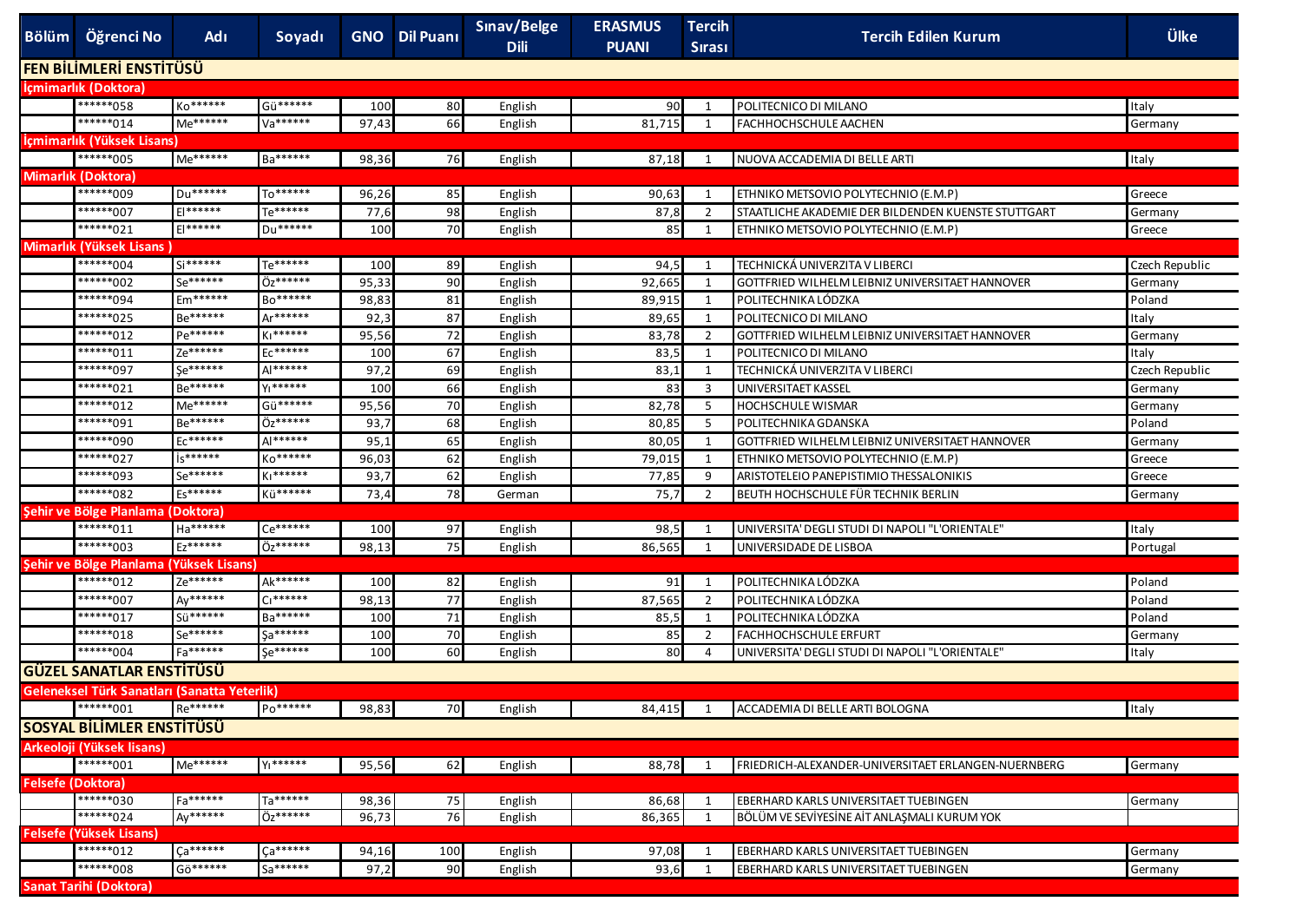| <b>FEN BİLİMLERİ ENSTİTÜSÜ</b><br>Içmimarlık (Doktora)<br>*******058<br>Ko******<br>Gü******<br>POLITECNICO DI MILANO<br>100<br>80<br>90<br>$\mathbf{1}$<br>Italy<br>English<br>******014<br>Me******<br>Va******<br>66<br>81,715<br>FACHHOCHSCHULE AACHEN<br>97,43<br>1<br>English<br>Germany<br>İçmimarlık (Yüksek Lisans)<br>*******005<br>Me******<br>Ba******<br>98,36<br>76<br>87,18<br>NUOVA ACCADEMIA DI BELLE ARTI<br>Italy<br>English<br>1<br><b>Mimarlık (Doktora)</b><br>******009<br>To******<br>Du******<br>85<br>96,26<br>90,63<br>$\mathbf{1}$<br>ETHNIKO METSOVIO POLYTECHNIO (E.M.P)<br>English<br>Greece<br>******007<br>$E$   ******<br>Te******<br>98<br>STAATLICHE AKADEMIE DER BILDENDEN KUENSTE STUTTGART<br>77,6<br>87,8<br>$\overline{2}$<br>English<br>Germany<br>******021<br>$E$   ******<br>Du******<br>70<br>100<br>85<br>1<br>ETHNIKO METSOVIO POLYTECHNIO (E.M.P)<br>English<br>Greece<br>Mimarlık (Yüksek Lisans<br>******004<br>$Si******$<br>Te******<br>TECHNICKÁ UNIVERZITA V LIBERCI<br>89<br>94,5<br>100<br>$\mathbf{1}$<br>Czech Republic<br>English<br>******002<br>Se******<br>Öz******<br>90<br>95,33<br>92,665<br>GOTTFRIED WILHELM LEIBNIZ UNIVERSITAET HANNOVER<br>1<br>English<br>Germany<br>******094<br>Em******<br>Bo******<br>POLITECHNIKA LÓDZKA<br>98,83<br>81<br>89,915<br>1<br>English<br>Poland<br>******025<br>Be******<br>$Ar******$<br>87<br>92,3<br>89,65<br>1<br>POLITECNICO DI MILANO<br>Italy<br>English<br>Pe******<br>******012<br>Ki******<br>72<br>95,56<br>83,78<br>GOTTFRIED WILHELM LEIBNIZ UNIVERSITAET HANNOVER<br>$\overline{2}$<br>Germany<br>English<br>Ze******<br>67<br>*******011<br>Ec******<br>100<br>83,5<br>POLITECNICO DI MILANO<br>1<br>Italy<br>English<br><b>Se******</b><br>******097<br>Al******<br>97,2<br>69<br>83,1<br>TECHNICKÁ UNIVERZITA V LIBERCI<br>1<br>English<br>Czech Republic<br>Be******<br>YI******<br>******021<br>100<br>66<br>83<br>3<br>UNIVERSITAET KASSEL<br>English<br>Germany<br>******012<br>Me******<br>Gü******<br>70<br>82,78<br>95,56<br>- 5<br><b>HOCHSCHULE WISMAR</b><br>English<br>Germany<br>******091<br>Be******<br>Öz******<br>68<br>93,7<br>80,85<br>5<br>POLITECHNIKA GDANSKA<br>Poland<br>English<br>Ec******<br>******090<br>Al******<br>65<br>95,1<br>80,05<br>GOTTFRIED WILHELM LEIBNIZ UNIVERSITAET HANNOVER<br>English<br>1<br>Germany<br>is******<br>******027<br>Ko******<br>62<br>79,015<br>ETHNIKO METSOVIO POLYTECHNIO (E.M.P)<br>96,03<br>1<br>English<br>Greece<br>Se******<br>******093<br>KI******<br>62<br>93,7<br>77,85<br>9<br>ARISTOTELEIO PANEPISTIMIO THESSALONIKIS<br>English<br>Greece<br>******082<br>Es******<br>Kü******<br>78<br>75,7<br>BEUTH HOCHSCHULE FÜR TECHNIK BERLIN<br>73,4<br>$\overline{2}$<br>German<br>Germany<br>Şehir ve Bölge Planlama (Doktora)<br>*******011<br>Ha******<br>Ce******<br>100<br>97<br>UNIVERSITA' DEGLI STUDI DI NAPOLI "L'ORIENTALE'<br>98,5<br>$\mathbf{1}$<br>Italy<br>English<br>Ez******<br>*******003<br>Öz******<br>75<br>98,13<br>86,565<br>1<br>UNIVERSIDADE DE LISBOA<br>Portugal<br>English<br>Şehir ve Bölge Planlama (Yüksek Lisans)<br>Ze******<br>******012<br>Ak******<br>POLITECHNIKA LÓDZKA<br>100<br>82<br>91<br>Poland<br>1<br>English<br>Ay******<br>******007<br>$C1******$<br>77<br>87,565<br>2<br>POLITECHNIKA LÓDZKA<br>Poland<br>98,13<br>English<br>******017<br>Sü******<br>Ba******<br>71<br>POLITECHNIKA LÓDZKA<br>100<br>85,5<br>1<br>Poland<br>English<br>******018<br>Se******<br>Sa******<br>70<br>100<br>85<br>$\overline{2}$<br><b>FACHHOCHSCHULE ERFURT</b><br>English<br>Germany<br>******004<br>Fa******<br>Se******<br>60<br>UNIVERSITA' DEGLI STUDI DI NAPOLI "L'ORIENTALE"<br>100<br>80<br>4<br>Italy<br>English<br><b>GÜZEL SANATLAR ENSTITÜSÜ</b><br>Geleneksel Türk Sanatları (Sanatta Yeterlik)<br>Re******<br>$P_0******$<br>*******001<br>98.83<br>84.415 1 ACCADEMIA DI BELLE ARTI BOLOGNA<br><b>70</b><br>Italy<br>English<br>SOSYAL BİLİMLER ENSTİTÜSÜ<br>Arkeoloji (Yüksek lisans)<br>*******001<br>Me******<br>YI******<br>62<br>88,78<br>95,56<br>FRIEDRICH-ALEXANDER-UNIVERSITAET ERLANGEN-NUERNBERG<br>English<br>1<br>Germany<br><b>Felsefe (Doktora)</b><br>Fa******<br>Ta******<br>*******030<br>75<br>98,36<br>86,68<br>EBERHARD KARLS UNIVERSITAET TUEBINGEN<br>Germany<br>English<br>1<br>******024<br>Ay******<br>Öz******<br>76<br>96,73<br>86,365<br>1<br>BÖLÜM VE SEVİYESİNE AİT ANLAŞMALI KURUM YOK<br>English<br><b>Felsefe (Yüksek Lisans)</b><br>$\sqrt{a^{******}}$<br>******012<br>Ca******<br>100<br>EBERHARD KARLS UNIVERSITAET TUEBINGEN<br>94,16<br>97,08<br>Germany<br>English<br>1<br>******008<br>Gö******<br>Sa******<br>90<br>EBERHARD KARLS UNIVERSITAET TUEBINGEN<br>97,2<br>93,6<br>English<br>Germany<br>1<br><b>Sanat Tarihi (Doktora)</b> | Bölüm Öğrenci No | Adı | Soyadı | <b>GNO</b> Dil Puani | Sınav/Belge<br><b>Dili</b> | <b>ERASMUS</b><br><b>PUANI</b> | <b>Tercih</b><br><b>Sirasi</b> | <b>Tercih Edilen Kurum</b> | <b>Ülke</b> |
|-----------------------------------------------------------------------------------------------------------------------------------------------------------------------------------------------------------------------------------------------------------------------------------------------------------------------------------------------------------------------------------------------------------------------------------------------------------------------------------------------------------------------------------------------------------------------------------------------------------------------------------------------------------------------------------------------------------------------------------------------------------------------------------------------------------------------------------------------------------------------------------------------------------------------------------------------------------------------------------------------------------------------------------------------------------------------------------------------------------------------------------------------------------------------------------------------------------------------------------------------------------------------------------------------------------------------------------------------------------------------------------------------------------------------------------------------------------------------------------------------------------------------------------------------------------------------------------------------------------------------------------------------------------------------------------------------------------------------------------------------------------------------------------------------------------------------------------------------------------------------------------------------------------------------------------------------------------------------------------------------------------------------------------------------------------------------------------------------------------------------------------------------------------------------------------------------------------------------------------------------------------------------------------------------------------------------------------------------------------------------------------------------------------------------------------------------------------------------------------------------------------------------------------------------------------------------------------------------------------------------------------------------------------------------------------------------------------------------------------------------------------------------------------------------------------------------------------------------------------------------------------------------------------------------------------------------------------------------------------------------------------------------------------------------------------------------------------------------------------------------------------------------------------------------------------------------------------------------------------------------------------------------------------------------------------------------------------------------------------------------------------------------------------------------------------------------------------------------------------------------------------------------------------------------------------------------------------------------------------------------------------------------------------------------------------------------------------------------------------------------------------------------------------------------------------------------------------------------------------------------------------------------------------------------------------------------------------------------------------------------------------------------------------------------------------------------------------------------------------------------------------------------------------------------------------------------------------------------------------------------------------------------------------------------------------------------------------------------------------------------------------------------------------------------------------------------------------------------------------------------------------------------------------------------------------------------------------------------------------------------------------------------------------------------------------------------------------------------------------------------------------------------------------------------------------------------------|------------------|-----|--------|----------------------|----------------------------|--------------------------------|--------------------------------|----------------------------|-------------|
|                                                                                                                                                                                                                                                                                                                                                                                                                                                                                                                                                                                                                                                                                                                                                                                                                                                                                                                                                                                                                                                                                                                                                                                                                                                                                                                                                                                                                                                                                                                                                                                                                                                                                                                                                                                                                                                                                                                                                                                                                                                                                                                                                                                                                                                                                                                                                                                                                                                                                                                                                                                                                                                                                                                                                                                                                                                                                                                                                                                                                                                                                                                                                                                                                                                                                                                                                                                                                                                                                                                                                                                                                                                                                                                                                                                                                                                                                                                                                                                                                                                                                                                                                                                                                                                                                                                                                                                                                                                                                                                                                                                                                                                                                                                                                                                                                             |                  |     |        |                      |                            |                                |                                |                            |             |
|                                                                                                                                                                                                                                                                                                                                                                                                                                                                                                                                                                                                                                                                                                                                                                                                                                                                                                                                                                                                                                                                                                                                                                                                                                                                                                                                                                                                                                                                                                                                                                                                                                                                                                                                                                                                                                                                                                                                                                                                                                                                                                                                                                                                                                                                                                                                                                                                                                                                                                                                                                                                                                                                                                                                                                                                                                                                                                                                                                                                                                                                                                                                                                                                                                                                                                                                                                                                                                                                                                                                                                                                                                                                                                                                                                                                                                                                                                                                                                                                                                                                                                                                                                                                                                                                                                                                                                                                                                                                                                                                                                                                                                                                                                                                                                                                                             |                  |     |        |                      |                            |                                |                                |                            |             |
|                                                                                                                                                                                                                                                                                                                                                                                                                                                                                                                                                                                                                                                                                                                                                                                                                                                                                                                                                                                                                                                                                                                                                                                                                                                                                                                                                                                                                                                                                                                                                                                                                                                                                                                                                                                                                                                                                                                                                                                                                                                                                                                                                                                                                                                                                                                                                                                                                                                                                                                                                                                                                                                                                                                                                                                                                                                                                                                                                                                                                                                                                                                                                                                                                                                                                                                                                                                                                                                                                                                                                                                                                                                                                                                                                                                                                                                                                                                                                                                                                                                                                                                                                                                                                                                                                                                                                                                                                                                                                                                                                                                                                                                                                                                                                                                                                             |                  |     |        |                      |                            |                                |                                |                            |             |
|                                                                                                                                                                                                                                                                                                                                                                                                                                                                                                                                                                                                                                                                                                                                                                                                                                                                                                                                                                                                                                                                                                                                                                                                                                                                                                                                                                                                                                                                                                                                                                                                                                                                                                                                                                                                                                                                                                                                                                                                                                                                                                                                                                                                                                                                                                                                                                                                                                                                                                                                                                                                                                                                                                                                                                                                                                                                                                                                                                                                                                                                                                                                                                                                                                                                                                                                                                                                                                                                                                                                                                                                                                                                                                                                                                                                                                                                                                                                                                                                                                                                                                                                                                                                                                                                                                                                                                                                                                                                                                                                                                                                                                                                                                                                                                                                                             |                  |     |        |                      |                            |                                |                                |                            |             |
|                                                                                                                                                                                                                                                                                                                                                                                                                                                                                                                                                                                                                                                                                                                                                                                                                                                                                                                                                                                                                                                                                                                                                                                                                                                                                                                                                                                                                                                                                                                                                                                                                                                                                                                                                                                                                                                                                                                                                                                                                                                                                                                                                                                                                                                                                                                                                                                                                                                                                                                                                                                                                                                                                                                                                                                                                                                                                                                                                                                                                                                                                                                                                                                                                                                                                                                                                                                                                                                                                                                                                                                                                                                                                                                                                                                                                                                                                                                                                                                                                                                                                                                                                                                                                                                                                                                                                                                                                                                                                                                                                                                                                                                                                                                                                                                                                             |                  |     |        |                      |                            |                                |                                |                            |             |
|                                                                                                                                                                                                                                                                                                                                                                                                                                                                                                                                                                                                                                                                                                                                                                                                                                                                                                                                                                                                                                                                                                                                                                                                                                                                                                                                                                                                                                                                                                                                                                                                                                                                                                                                                                                                                                                                                                                                                                                                                                                                                                                                                                                                                                                                                                                                                                                                                                                                                                                                                                                                                                                                                                                                                                                                                                                                                                                                                                                                                                                                                                                                                                                                                                                                                                                                                                                                                                                                                                                                                                                                                                                                                                                                                                                                                                                                                                                                                                                                                                                                                                                                                                                                                                                                                                                                                                                                                                                                                                                                                                                                                                                                                                                                                                                                                             |                  |     |        |                      |                            |                                |                                |                            |             |
|                                                                                                                                                                                                                                                                                                                                                                                                                                                                                                                                                                                                                                                                                                                                                                                                                                                                                                                                                                                                                                                                                                                                                                                                                                                                                                                                                                                                                                                                                                                                                                                                                                                                                                                                                                                                                                                                                                                                                                                                                                                                                                                                                                                                                                                                                                                                                                                                                                                                                                                                                                                                                                                                                                                                                                                                                                                                                                                                                                                                                                                                                                                                                                                                                                                                                                                                                                                                                                                                                                                                                                                                                                                                                                                                                                                                                                                                                                                                                                                                                                                                                                                                                                                                                                                                                                                                                                                                                                                                                                                                                                                                                                                                                                                                                                                                                             |                  |     |        |                      |                            |                                |                                |                            |             |
|                                                                                                                                                                                                                                                                                                                                                                                                                                                                                                                                                                                                                                                                                                                                                                                                                                                                                                                                                                                                                                                                                                                                                                                                                                                                                                                                                                                                                                                                                                                                                                                                                                                                                                                                                                                                                                                                                                                                                                                                                                                                                                                                                                                                                                                                                                                                                                                                                                                                                                                                                                                                                                                                                                                                                                                                                                                                                                                                                                                                                                                                                                                                                                                                                                                                                                                                                                                                                                                                                                                                                                                                                                                                                                                                                                                                                                                                                                                                                                                                                                                                                                                                                                                                                                                                                                                                                                                                                                                                                                                                                                                                                                                                                                                                                                                                                             |                  |     |        |                      |                            |                                |                                |                            |             |
|                                                                                                                                                                                                                                                                                                                                                                                                                                                                                                                                                                                                                                                                                                                                                                                                                                                                                                                                                                                                                                                                                                                                                                                                                                                                                                                                                                                                                                                                                                                                                                                                                                                                                                                                                                                                                                                                                                                                                                                                                                                                                                                                                                                                                                                                                                                                                                                                                                                                                                                                                                                                                                                                                                                                                                                                                                                                                                                                                                                                                                                                                                                                                                                                                                                                                                                                                                                                                                                                                                                                                                                                                                                                                                                                                                                                                                                                                                                                                                                                                                                                                                                                                                                                                                                                                                                                                                                                                                                                                                                                                                                                                                                                                                                                                                                                                             |                  |     |        |                      |                            |                                |                                |                            |             |
|                                                                                                                                                                                                                                                                                                                                                                                                                                                                                                                                                                                                                                                                                                                                                                                                                                                                                                                                                                                                                                                                                                                                                                                                                                                                                                                                                                                                                                                                                                                                                                                                                                                                                                                                                                                                                                                                                                                                                                                                                                                                                                                                                                                                                                                                                                                                                                                                                                                                                                                                                                                                                                                                                                                                                                                                                                                                                                                                                                                                                                                                                                                                                                                                                                                                                                                                                                                                                                                                                                                                                                                                                                                                                                                                                                                                                                                                                                                                                                                                                                                                                                                                                                                                                                                                                                                                                                                                                                                                                                                                                                                                                                                                                                                                                                                                                             |                  |     |        |                      |                            |                                |                                |                            |             |
|                                                                                                                                                                                                                                                                                                                                                                                                                                                                                                                                                                                                                                                                                                                                                                                                                                                                                                                                                                                                                                                                                                                                                                                                                                                                                                                                                                                                                                                                                                                                                                                                                                                                                                                                                                                                                                                                                                                                                                                                                                                                                                                                                                                                                                                                                                                                                                                                                                                                                                                                                                                                                                                                                                                                                                                                                                                                                                                                                                                                                                                                                                                                                                                                                                                                                                                                                                                                                                                                                                                                                                                                                                                                                                                                                                                                                                                                                                                                                                                                                                                                                                                                                                                                                                                                                                                                                                                                                                                                                                                                                                                                                                                                                                                                                                                                                             |                  |     |        |                      |                            |                                |                                |                            |             |
|                                                                                                                                                                                                                                                                                                                                                                                                                                                                                                                                                                                                                                                                                                                                                                                                                                                                                                                                                                                                                                                                                                                                                                                                                                                                                                                                                                                                                                                                                                                                                                                                                                                                                                                                                                                                                                                                                                                                                                                                                                                                                                                                                                                                                                                                                                                                                                                                                                                                                                                                                                                                                                                                                                                                                                                                                                                                                                                                                                                                                                                                                                                                                                                                                                                                                                                                                                                                                                                                                                                                                                                                                                                                                                                                                                                                                                                                                                                                                                                                                                                                                                                                                                                                                                                                                                                                                                                                                                                                                                                                                                                                                                                                                                                                                                                                                             |                  |     |        |                      |                            |                                |                                |                            |             |
|                                                                                                                                                                                                                                                                                                                                                                                                                                                                                                                                                                                                                                                                                                                                                                                                                                                                                                                                                                                                                                                                                                                                                                                                                                                                                                                                                                                                                                                                                                                                                                                                                                                                                                                                                                                                                                                                                                                                                                                                                                                                                                                                                                                                                                                                                                                                                                                                                                                                                                                                                                                                                                                                                                                                                                                                                                                                                                                                                                                                                                                                                                                                                                                                                                                                                                                                                                                                                                                                                                                                                                                                                                                                                                                                                                                                                                                                                                                                                                                                                                                                                                                                                                                                                                                                                                                                                                                                                                                                                                                                                                                                                                                                                                                                                                                                                             |                  |     |        |                      |                            |                                |                                |                            |             |
|                                                                                                                                                                                                                                                                                                                                                                                                                                                                                                                                                                                                                                                                                                                                                                                                                                                                                                                                                                                                                                                                                                                                                                                                                                                                                                                                                                                                                                                                                                                                                                                                                                                                                                                                                                                                                                                                                                                                                                                                                                                                                                                                                                                                                                                                                                                                                                                                                                                                                                                                                                                                                                                                                                                                                                                                                                                                                                                                                                                                                                                                                                                                                                                                                                                                                                                                                                                                                                                                                                                                                                                                                                                                                                                                                                                                                                                                                                                                                                                                                                                                                                                                                                                                                                                                                                                                                                                                                                                                                                                                                                                                                                                                                                                                                                                                                             |                  |     |        |                      |                            |                                |                                |                            |             |
|                                                                                                                                                                                                                                                                                                                                                                                                                                                                                                                                                                                                                                                                                                                                                                                                                                                                                                                                                                                                                                                                                                                                                                                                                                                                                                                                                                                                                                                                                                                                                                                                                                                                                                                                                                                                                                                                                                                                                                                                                                                                                                                                                                                                                                                                                                                                                                                                                                                                                                                                                                                                                                                                                                                                                                                                                                                                                                                                                                                                                                                                                                                                                                                                                                                                                                                                                                                                                                                                                                                                                                                                                                                                                                                                                                                                                                                                                                                                                                                                                                                                                                                                                                                                                                                                                                                                                                                                                                                                                                                                                                                                                                                                                                                                                                                                                             |                  |     |        |                      |                            |                                |                                |                            |             |
|                                                                                                                                                                                                                                                                                                                                                                                                                                                                                                                                                                                                                                                                                                                                                                                                                                                                                                                                                                                                                                                                                                                                                                                                                                                                                                                                                                                                                                                                                                                                                                                                                                                                                                                                                                                                                                                                                                                                                                                                                                                                                                                                                                                                                                                                                                                                                                                                                                                                                                                                                                                                                                                                                                                                                                                                                                                                                                                                                                                                                                                                                                                                                                                                                                                                                                                                                                                                                                                                                                                                                                                                                                                                                                                                                                                                                                                                                                                                                                                                                                                                                                                                                                                                                                                                                                                                                                                                                                                                                                                                                                                                                                                                                                                                                                                                                             |                  |     |        |                      |                            |                                |                                |                            |             |
|                                                                                                                                                                                                                                                                                                                                                                                                                                                                                                                                                                                                                                                                                                                                                                                                                                                                                                                                                                                                                                                                                                                                                                                                                                                                                                                                                                                                                                                                                                                                                                                                                                                                                                                                                                                                                                                                                                                                                                                                                                                                                                                                                                                                                                                                                                                                                                                                                                                                                                                                                                                                                                                                                                                                                                                                                                                                                                                                                                                                                                                                                                                                                                                                                                                                                                                                                                                                                                                                                                                                                                                                                                                                                                                                                                                                                                                                                                                                                                                                                                                                                                                                                                                                                                                                                                                                                                                                                                                                                                                                                                                                                                                                                                                                                                                                                             |                  |     |        |                      |                            |                                |                                |                            |             |
|                                                                                                                                                                                                                                                                                                                                                                                                                                                                                                                                                                                                                                                                                                                                                                                                                                                                                                                                                                                                                                                                                                                                                                                                                                                                                                                                                                                                                                                                                                                                                                                                                                                                                                                                                                                                                                                                                                                                                                                                                                                                                                                                                                                                                                                                                                                                                                                                                                                                                                                                                                                                                                                                                                                                                                                                                                                                                                                                                                                                                                                                                                                                                                                                                                                                                                                                                                                                                                                                                                                                                                                                                                                                                                                                                                                                                                                                                                                                                                                                                                                                                                                                                                                                                                                                                                                                                                                                                                                                                                                                                                                                                                                                                                                                                                                                                             |                  |     |        |                      |                            |                                |                                |                            |             |
|                                                                                                                                                                                                                                                                                                                                                                                                                                                                                                                                                                                                                                                                                                                                                                                                                                                                                                                                                                                                                                                                                                                                                                                                                                                                                                                                                                                                                                                                                                                                                                                                                                                                                                                                                                                                                                                                                                                                                                                                                                                                                                                                                                                                                                                                                                                                                                                                                                                                                                                                                                                                                                                                                                                                                                                                                                                                                                                                                                                                                                                                                                                                                                                                                                                                                                                                                                                                                                                                                                                                                                                                                                                                                                                                                                                                                                                                                                                                                                                                                                                                                                                                                                                                                                                                                                                                                                                                                                                                                                                                                                                                                                                                                                                                                                                                                             |                  |     |        |                      |                            |                                |                                |                            |             |
|                                                                                                                                                                                                                                                                                                                                                                                                                                                                                                                                                                                                                                                                                                                                                                                                                                                                                                                                                                                                                                                                                                                                                                                                                                                                                                                                                                                                                                                                                                                                                                                                                                                                                                                                                                                                                                                                                                                                                                                                                                                                                                                                                                                                                                                                                                                                                                                                                                                                                                                                                                                                                                                                                                                                                                                                                                                                                                                                                                                                                                                                                                                                                                                                                                                                                                                                                                                                                                                                                                                                                                                                                                                                                                                                                                                                                                                                                                                                                                                                                                                                                                                                                                                                                                                                                                                                                                                                                                                                                                                                                                                                                                                                                                                                                                                                                             |                  |     |        |                      |                            |                                |                                |                            |             |
|                                                                                                                                                                                                                                                                                                                                                                                                                                                                                                                                                                                                                                                                                                                                                                                                                                                                                                                                                                                                                                                                                                                                                                                                                                                                                                                                                                                                                                                                                                                                                                                                                                                                                                                                                                                                                                                                                                                                                                                                                                                                                                                                                                                                                                                                                                                                                                                                                                                                                                                                                                                                                                                                                                                                                                                                                                                                                                                                                                                                                                                                                                                                                                                                                                                                                                                                                                                                                                                                                                                                                                                                                                                                                                                                                                                                                                                                                                                                                                                                                                                                                                                                                                                                                                                                                                                                                                                                                                                                                                                                                                                                                                                                                                                                                                                                                             |                  |     |        |                      |                            |                                |                                |                            |             |
|                                                                                                                                                                                                                                                                                                                                                                                                                                                                                                                                                                                                                                                                                                                                                                                                                                                                                                                                                                                                                                                                                                                                                                                                                                                                                                                                                                                                                                                                                                                                                                                                                                                                                                                                                                                                                                                                                                                                                                                                                                                                                                                                                                                                                                                                                                                                                                                                                                                                                                                                                                                                                                                                                                                                                                                                                                                                                                                                                                                                                                                                                                                                                                                                                                                                                                                                                                                                                                                                                                                                                                                                                                                                                                                                                                                                                                                                                                                                                                                                                                                                                                                                                                                                                                                                                                                                                                                                                                                                                                                                                                                                                                                                                                                                                                                                                             |                  |     |        |                      |                            |                                |                                |                            |             |
|                                                                                                                                                                                                                                                                                                                                                                                                                                                                                                                                                                                                                                                                                                                                                                                                                                                                                                                                                                                                                                                                                                                                                                                                                                                                                                                                                                                                                                                                                                                                                                                                                                                                                                                                                                                                                                                                                                                                                                                                                                                                                                                                                                                                                                                                                                                                                                                                                                                                                                                                                                                                                                                                                                                                                                                                                                                                                                                                                                                                                                                                                                                                                                                                                                                                                                                                                                                                                                                                                                                                                                                                                                                                                                                                                                                                                                                                                                                                                                                                                                                                                                                                                                                                                                                                                                                                                                                                                                                                                                                                                                                                                                                                                                                                                                                                                             |                  |     |        |                      |                            |                                |                                |                            |             |
|                                                                                                                                                                                                                                                                                                                                                                                                                                                                                                                                                                                                                                                                                                                                                                                                                                                                                                                                                                                                                                                                                                                                                                                                                                                                                                                                                                                                                                                                                                                                                                                                                                                                                                                                                                                                                                                                                                                                                                                                                                                                                                                                                                                                                                                                                                                                                                                                                                                                                                                                                                                                                                                                                                                                                                                                                                                                                                                                                                                                                                                                                                                                                                                                                                                                                                                                                                                                                                                                                                                                                                                                                                                                                                                                                                                                                                                                                                                                                                                                                                                                                                                                                                                                                                                                                                                                                                                                                                                                                                                                                                                                                                                                                                                                                                                                                             |                  |     |        |                      |                            |                                |                                |                            |             |
|                                                                                                                                                                                                                                                                                                                                                                                                                                                                                                                                                                                                                                                                                                                                                                                                                                                                                                                                                                                                                                                                                                                                                                                                                                                                                                                                                                                                                                                                                                                                                                                                                                                                                                                                                                                                                                                                                                                                                                                                                                                                                                                                                                                                                                                                                                                                                                                                                                                                                                                                                                                                                                                                                                                                                                                                                                                                                                                                                                                                                                                                                                                                                                                                                                                                                                                                                                                                                                                                                                                                                                                                                                                                                                                                                                                                                                                                                                                                                                                                                                                                                                                                                                                                                                                                                                                                                                                                                                                                                                                                                                                                                                                                                                                                                                                                                             |                  |     |        |                      |                            |                                |                                |                            |             |
|                                                                                                                                                                                                                                                                                                                                                                                                                                                                                                                                                                                                                                                                                                                                                                                                                                                                                                                                                                                                                                                                                                                                                                                                                                                                                                                                                                                                                                                                                                                                                                                                                                                                                                                                                                                                                                                                                                                                                                                                                                                                                                                                                                                                                                                                                                                                                                                                                                                                                                                                                                                                                                                                                                                                                                                                                                                                                                                                                                                                                                                                                                                                                                                                                                                                                                                                                                                                                                                                                                                                                                                                                                                                                                                                                                                                                                                                                                                                                                                                                                                                                                                                                                                                                                                                                                                                                                                                                                                                                                                                                                                                                                                                                                                                                                                                                             |                  |     |        |                      |                            |                                |                                |                            |             |
|                                                                                                                                                                                                                                                                                                                                                                                                                                                                                                                                                                                                                                                                                                                                                                                                                                                                                                                                                                                                                                                                                                                                                                                                                                                                                                                                                                                                                                                                                                                                                                                                                                                                                                                                                                                                                                                                                                                                                                                                                                                                                                                                                                                                                                                                                                                                                                                                                                                                                                                                                                                                                                                                                                                                                                                                                                                                                                                                                                                                                                                                                                                                                                                                                                                                                                                                                                                                                                                                                                                                                                                                                                                                                                                                                                                                                                                                                                                                                                                                                                                                                                                                                                                                                                                                                                                                                                                                                                                                                                                                                                                                                                                                                                                                                                                                                             |                  |     |        |                      |                            |                                |                                |                            |             |
|                                                                                                                                                                                                                                                                                                                                                                                                                                                                                                                                                                                                                                                                                                                                                                                                                                                                                                                                                                                                                                                                                                                                                                                                                                                                                                                                                                                                                                                                                                                                                                                                                                                                                                                                                                                                                                                                                                                                                                                                                                                                                                                                                                                                                                                                                                                                                                                                                                                                                                                                                                                                                                                                                                                                                                                                                                                                                                                                                                                                                                                                                                                                                                                                                                                                                                                                                                                                                                                                                                                                                                                                                                                                                                                                                                                                                                                                                                                                                                                                                                                                                                                                                                                                                                                                                                                                                                                                                                                                                                                                                                                                                                                                                                                                                                                                                             |                  |     |        |                      |                            |                                |                                |                            |             |
|                                                                                                                                                                                                                                                                                                                                                                                                                                                                                                                                                                                                                                                                                                                                                                                                                                                                                                                                                                                                                                                                                                                                                                                                                                                                                                                                                                                                                                                                                                                                                                                                                                                                                                                                                                                                                                                                                                                                                                                                                                                                                                                                                                                                                                                                                                                                                                                                                                                                                                                                                                                                                                                                                                                                                                                                                                                                                                                                                                                                                                                                                                                                                                                                                                                                                                                                                                                                                                                                                                                                                                                                                                                                                                                                                                                                                                                                                                                                                                                                                                                                                                                                                                                                                                                                                                                                                                                                                                                                                                                                                                                                                                                                                                                                                                                                                             |                  |     |        |                      |                            |                                |                                |                            |             |
|                                                                                                                                                                                                                                                                                                                                                                                                                                                                                                                                                                                                                                                                                                                                                                                                                                                                                                                                                                                                                                                                                                                                                                                                                                                                                                                                                                                                                                                                                                                                                                                                                                                                                                                                                                                                                                                                                                                                                                                                                                                                                                                                                                                                                                                                                                                                                                                                                                                                                                                                                                                                                                                                                                                                                                                                                                                                                                                                                                                                                                                                                                                                                                                                                                                                                                                                                                                                                                                                                                                                                                                                                                                                                                                                                                                                                                                                                                                                                                                                                                                                                                                                                                                                                                                                                                                                                                                                                                                                                                                                                                                                                                                                                                                                                                                                                             |                  |     |        |                      |                            |                                |                                |                            |             |
|                                                                                                                                                                                                                                                                                                                                                                                                                                                                                                                                                                                                                                                                                                                                                                                                                                                                                                                                                                                                                                                                                                                                                                                                                                                                                                                                                                                                                                                                                                                                                                                                                                                                                                                                                                                                                                                                                                                                                                                                                                                                                                                                                                                                                                                                                                                                                                                                                                                                                                                                                                                                                                                                                                                                                                                                                                                                                                                                                                                                                                                                                                                                                                                                                                                                                                                                                                                                                                                                                                                                                                                                                                                                                                                                                                                                                                                                                                                                                                                                                                                                                                                                                                                                                                                                                                                                                                                                                                                                                                                                                                                                                                                                                                                                                                                                                             |                  |     |        |                      |                            |                                |                                |                            |             |
|                                                                                                                                                                                                                                                                                                                                                                                                                                                                                                                                                                                                                                                                                                                                                                                                                                                                                                                                                                                                                                                                                                                                                                                                                                                                                                                                                                                                                                                                                                                                                                                                                                                                                                                                                                                                                                                                                                                                                                                                                                                                                                                                                                                                                                                                                                                                                                                                                                                                                                                                                                                                                                                                                                                                                                                                                                                                                                                                                                                                                                                                                                                                                                                                                                                                                                                                                                                                                                                                                                                                                                                                                                                                                                                                                                                                                                                                                                                                                                                                                                                                                                                                                                                                                                                                                                                                                                                                                                                                                                                                                                                                                                                                                                                                                                                                                             |                  |     |        |                      |                            |                                |                                |                            |             |
|                                                                                                                                                                                                                                                                                                                                                                                                                                                                                                                                                                                                                                                                                                                                                                                                                                                                                                                                                                                                                                                                                                                                                                                                                                                                                                                                                                                                                                                                                                                                                                                                                                                                                                                                                                                                                                                                                                                                                                                                                                                                                                                                                                                                                                                                                                                                                                                                                                                                                                                                                                                                                                                                                                                                                                                                                                                                                                                                                                                                                                                                                                                                                                                                                                                                                                                                                                                                                                                                                                                                                                                                                                                                                                                                                                                                                                                                                                                                                                                                                                                                                                                                                                                                                                                                                                                                                                                                                                                                                                                                                                                                                                                                                                                                                                                                                             |                  |     |        |                      |                            |                                |                                |                            |             |
|                                                                                                                                                                                                                                                                                                                                                                                                                                                                                                                                                                                                                                                                                                                                                                                                                                                                                                                                                                                                                                                                                                                                                                                                                                                                                                                                                                                                                                                                                                                                                                                                                                                                                                                                                                                                                                                                                                                                                                                                                                                                                                                                                                                                                                                                                                                                                                                                                                                                                                                                                                                                                                                                                                                                                                                                                                                                                                                                                                                                                                                                                                                                                                                                                                                                                                                                                                                                                                                                                                                                                                                                                                                                                                                                                                                                                                                                                                                                                                                                                                                                                                                                                                                                                                                                                                                                                                                                                                                                                                                                                                                                                                                                                                                                                                                                                             |                  |     |        |                      |                            |                                |                                |                            |             |
|                                                                                                                                                                                                                                                                                                                                                                                                                                                                                                                                                                                                                                                                                                                                                                                                                                                                                                                                                                                                                                                                                                                                                                                                                                                                                                                                                                                                                                                                                                                                                                                                                                                                                                                                                                                                                                                                                                                                                                                                                                                                                                                                                                                                                                                                                                                                                                                                                                                                                                                                                                                                                                                                                                                                                                                                                                                                                                                                                                                                                                                                                                                                                                                                                                                                                                                                                                                                                                                                                                                                                                                                                                                                                                                                                                                                                                                                                                                                                                                                                                                                                                                                                                                                                                                                                                                                                                                                                                                                                                                                                                                                                                                                                                                                                                                                                             |                  |     |        |                      |                            |                                |                                |                            |             |
|                                                                                                                                                                                                                                                                                                                                                                                                                                                                                                                                                                                                                                                                                                                                                                                                                                                                                                                                                                                                                                                                                                                                                                                                                                                                                                                                                                                                                                                                                                                                                                                                                                                                                                                                                                                                                                                                                                                                                                                                                                                                                                                                                                                                                                                                                                                                                                                                                                                                                                                                                                                                                                                                                                                                                                                                                                                                                                                                                                                                                                                                                                                                                                                                                                                                                                                                                                                                                                                                                                                                                                                                                                                                                                                                                                                                                                                                                                                                                                                                                                                                                                                                                                                                                                                                                                                                                                                                                                                                                                                                                                                                                                                                                                                                                                                                                             |                  |     |        |                      |                            |                                |                                |                            |             |
|                                                                                                                                                                                                                                                                                                                                                                                                                                                                                                                                                                                                                                                                                                                                                                                                                                                                                                                                                                                                                                                                                                                                                                                                                                                                                                                                                                                                                                                                                                                                                                                                                                                                                                                                                                                                                                                                                                                                                                                                                                                                                                                                                                                                                                                                                                                                                                                                                                                                                                                                                                                                                                                                                                                                                                                                                                                                                                                                                                                                                                                                                                                                                                                                                                                                                                                                                                                                                                                                                                                                                                                                                                                                                                                                                                                                                                                                                                                                                                                                                                                                                                                                                                                                                                                                                                                                                                                                                                                                                                                                                                                                                                                                                                                                                                                                                             |                  |     |        |                      |                            |                                |                                |                            |             |
|                                                                                                                                                                                                                                                                                                                                                                                                                                                                                                                                                                                                                                                                                                                                                                                                                                                                                                                                                                                                                                                                                                                                                                                                                                                                                                                                                                                                                                                                                                                                                                                                                                                                                                                                                                                                                                                                                                                                                                                                                                                                                                                                                                                                                                                                                                                                                                                                                                                                                                                                                                                                                                                                                                                                                                                                                                                                                                                                                                                                                                                                                                                                                                                                                                                                                                                                                                                                                                                                                                                                                                                                                                                                                                                                                                                                                                                                                                                                                                                                                                                                                                                                                                                                                                                                                                                                                                                                                                                                                                                                                                                                                                                                                                                                                                                                                             |                  |     |        |                      |                            |                                |                                |                            |             |
|                                                                                                                                                                                                                                                                                                                                                                                                                                                                                                                                                                                                                                                                                                                                                                                                                                                                                                                                                                                                                                                                                                                                                                                                                                                                                                                                                                                                                                                                                                                                                                                                                                                                                                                                                                                                                                                                                                                                                                                                                                                                                                                                                                                                                                                                                                                                                                                                                                                                                                                                                                                                                                                                                                                                                                                                                                                                                                                                                                                                                                                                                                                                                                                                                                                                                                                                                                                                                                                                                                                                                                                                                                                                                                                                                                                                                                                                                                                                                                                                                                                                                                                                                                                                                                                                                                                                                                                                                                                                                                                                                                                                                                                                                                                                                                                                                             |                  |     |        |                      |                            |                                |                                |                            |             |
|                                                                                                                                                                                                                                                                                                                                                                                                                                                                                                                                                                                                                                                                                                                                                                                                                                                                                                                                                                                                                                                                                                                                                                                                                                                                                                                                                                                                                                                                                                                                                                                                                                                                                                                                                                                                                                                                                                                                                                                                                                                                                                                                                                                                                                                                                                                                                                                                                                                                                                                                                                                                                                                                                                                                                                                                                                                                                                                                                                                                                                                                                                                                                                                                                                                                                                                                                                                                                                                                                                                                                                                                                                                                                                                                                                                                                                                                                                                                                                                                                                                                                                                                                                                                                                                                                                                                                                                                                                                                                                                                                                                                                                                                                                                                                                                                                             |                  |     |        |                      |                            |                                |                                |                            |             |
|                                                                                                                                                                                                                                                                                                                                                                                                                                                                                                                                                                                                                                                                                                                                                                                                                                                                                                                                                                                                                                                                                                                                                                                                                                                                                                                                                                                                                                                                                                                                                                                                                                                                                                                                                                                                                                                                                                                                                                                                                                                                                                                                                                                                                                                                                                                                                                                                                                                                                                                                                                                                                                                                                                                                                                                                                                                                                                                                                                                                                                                                                                                                                                                                                                                                                                                                                                                                                                                                                                                                                                                                                                                                                                                                                                                                                                                                                                                                                                                                                                                                                                                                                                                                                                                                                                                                                                                                                                                                                                                                                                                                                                                                                                                                                                                                                             |                  |     |        |                      |                            |                                |                                |                            |             |
|                                                                                                                                                                                                                                                                                                                                                                                                                                                                                                                                                                                                                                                                                                                                                                                                                                                                                                                                                                                                                                                                                                                                                                                                                                                                                                                                                                                                                                                                                                                                                                                                                                                                                                                                                                                                                                                                                                                                                                                                                                                                                                                                                                                                                                                                                                                                                                                                                                                                                                                                                                                                                                                                                                                                                                                                                                                                                                                                                                                                                                                                                                                                                                                                                                                                                                                                                                                                                                                                                                                                                                                                                                                                                                                                                                                                                                                                                                                                                                                                                                                                                                                                                                                                                                                                                                                                                                                                                                                                                                                                                                                                                                                                                                                                                                                                                             |                  |     |        |                      |                            |                                |                                |                            |             |
|                                                                                                                                                                                                                                                                                                                                                                                                                                                                                                                                                                                                                                                                                                                                                                                                                                                                                                                                                                                                                                                                                                                                                                                                                                                                                                                                                                                                                                                                                                                                                                                                                                                                                                                                                                                                                                                                                                                                                                                                                                                                                                                                                                                                                                                                                                                                                                                                                                                                                                                                                                                                                                                                                                                                                                                                                                                                                                                                                                                                                                                                                                                                                                                                                                                                                                                                                                                                                                                                                                                                                                                                                                                                                                                                                                                                                                                                                                                                                                                                                                                                                                                                                                                                                                                                                                                                                                                                                                                                                                                                                                                                                                                                                                                                                                                                                             |                  |     |        |                      |                            |                                |                                |                            |             |
|                                                                                                                                                                                                                                                                                                                                                                                                                                                                                                                                                                                                                                                                                                                                                                                                                                                                                                                                                                                                                                                                                                                                                                                                                                                                                                                                                                                                                                                                                                                                                                                                                                                                                                                                                                                                                                                                                                                                                                                                                                                                                                                                                                                                                                                                                                                                                                                                                                                                                                                                                                                                                                                                                                                                                                                                                                                                                                                                                                                                                                                                                                                                                                                                                                                                                                                                                                                                                                                                                                                                                                                                                                                                                                                                                                                                                                                                                                                                                                                                                                                                                                                                                                                                                                                                                                                                                                                                                                                                                                                                                                                                                                                                                                                                                                                                                             |                  |     |        |                      |                            |                                |                                |                            |             |
|                                                                                                                                                                                                                                                                                                                                                                                                                                                                                                                                                                                                                                                                                                                                                                                                                                                                                                                                                                                                                                                                                                                                                                                                                                                                                                                                                                                                                                                                                                                                                                                                                                                                                                                                                                                                                                                                                                                                                                                                                                                                                                                                                                                                                                                                                                                                                                                                                                                                                                                                                                                                                                                                                                                                                                                                                                                                                                                                                                                                                                                                                                                                                                                                                                                                                                                                                                                                                                                                                                                                                                                                                                                                                                                                                                                                                                                                                                                                                                                                                                                                                                                                                                                                                                                                                                                                                                                                                                                                                                                                                                                                                                                                                                                                                                                                                             |                  |     |        |                      |                            |                                |                                |                            |             |
|                                                                                                                                                                                                                                                                                                                                                                                                                                                                                                                                                                                                                                                                                                                                                                                                                                                                                                                                                                                                                                                                                                                                                                                                                                                                                                                                                                                                                                                                                                                                                                                                                                                                                                                                                                                                                                                                                                                                                                                                                                                                                                                                                                                                                                                                                                                                                                                                                                                                                                                                                                                                                                                                                                                                                                                                                                                                                                                                                                                                                                                                                                                                                                                                                                                                                                                                                                                                                                                                                                                                                                                                                                                                                                                                                                                                                                                                                                                                                                                                                                                                                                                                                                                                                                                                                                                                                                                                                                                                                                                                                                                                                                                                                                                                                                                                                             |                  |     |        |                      |                            |                                |                                |                            |             |
|                                                                                                                                                                                                                                                                                                                                                                                                                                                                                                                                                                                                                                                                                                                                                                                                                                                                                                                                                                                                                                                                                                                                                                                                                                                                                                                                                                                                                                                                                                                                                                                                                                                                                                                                                                                                                                                                                                                                                                                                                                                                                                                                                                                                                                                                                                                                                                                                                                                                                                                                                                                                                                                                                                                                                                                                                                                                                                                                                                                                                                                                                                                                                                                                                                                                                                                                                                                                                                                                                                                                                                                                                                                                                                                                                                                                                                                                                                                                                                                                                                                                                                                                                                                                                                                                                                                                                                                                                                                                                                                                                                                                                                                                                                                                                                                                                             |                  |     |        |                      |                            |                                |                                |                            |             |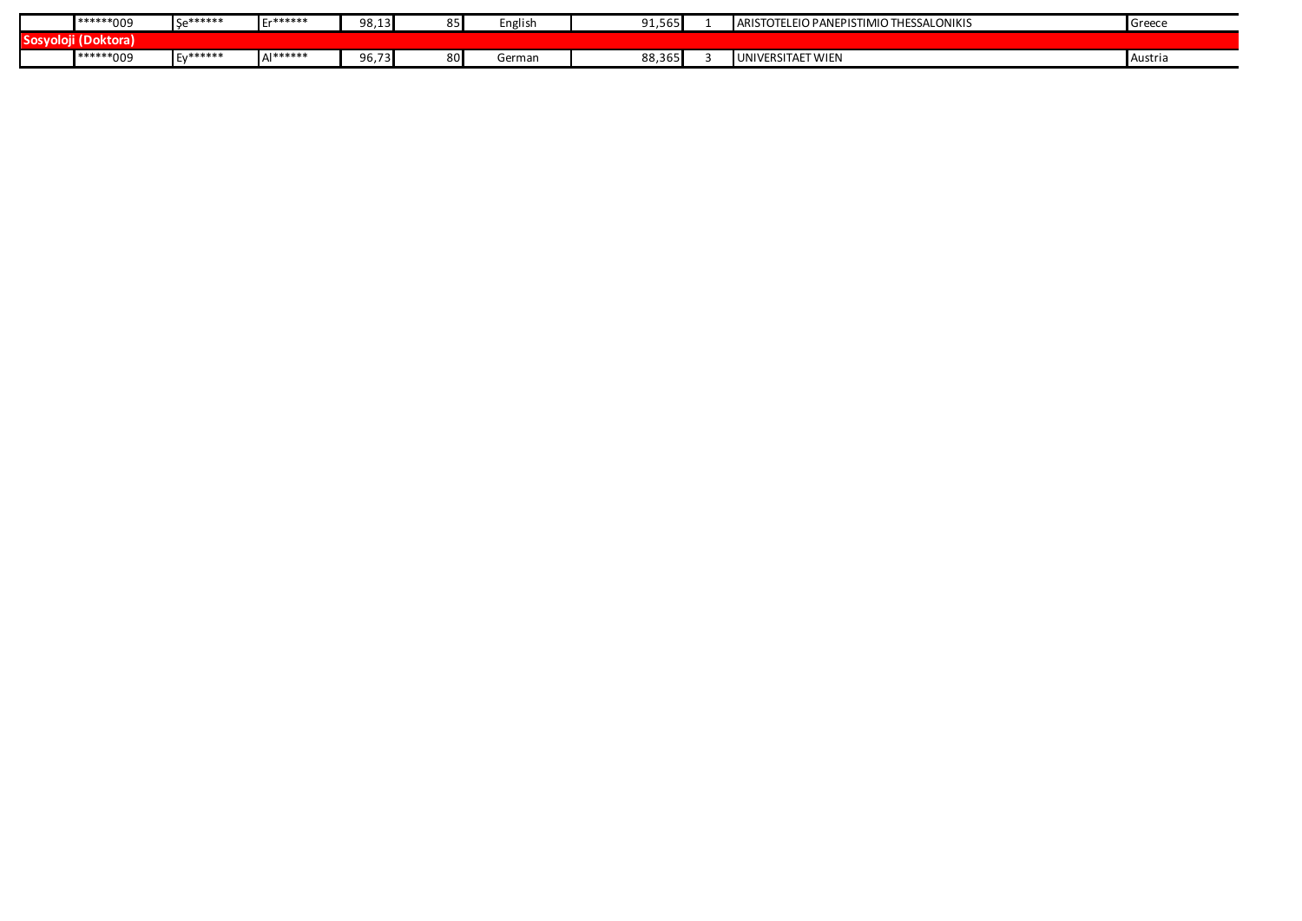|              | *******009      | <b>ISA******</b> | $C - * * * * * * *$ | 98,13 |     | English | ----<br>. . <i>.</i>                           | <b>ARISTOTELEIO</b><br>TIMIO THESSALONIKIS<br>J PANEPISTI' | Greece         |
|--------------|-----------------|------------------|---------------------|-------|-----|---------|------------------------------------------------|------------------------------------------------------------|----------------|
| <b>Sosvo</b> | . .<br>Doktora) |                  |                     |       |     |         |                                                |                                                            |                |
|              | *******009      | *******          | <b>AI******</b>     | 96,73 | 8U. | German  | 002C<br>$\sim$ $\sim$<br>00,30<br>. . <i>.</i> | UNIVERSITAET WIEN                                          | <b>Austria</b> |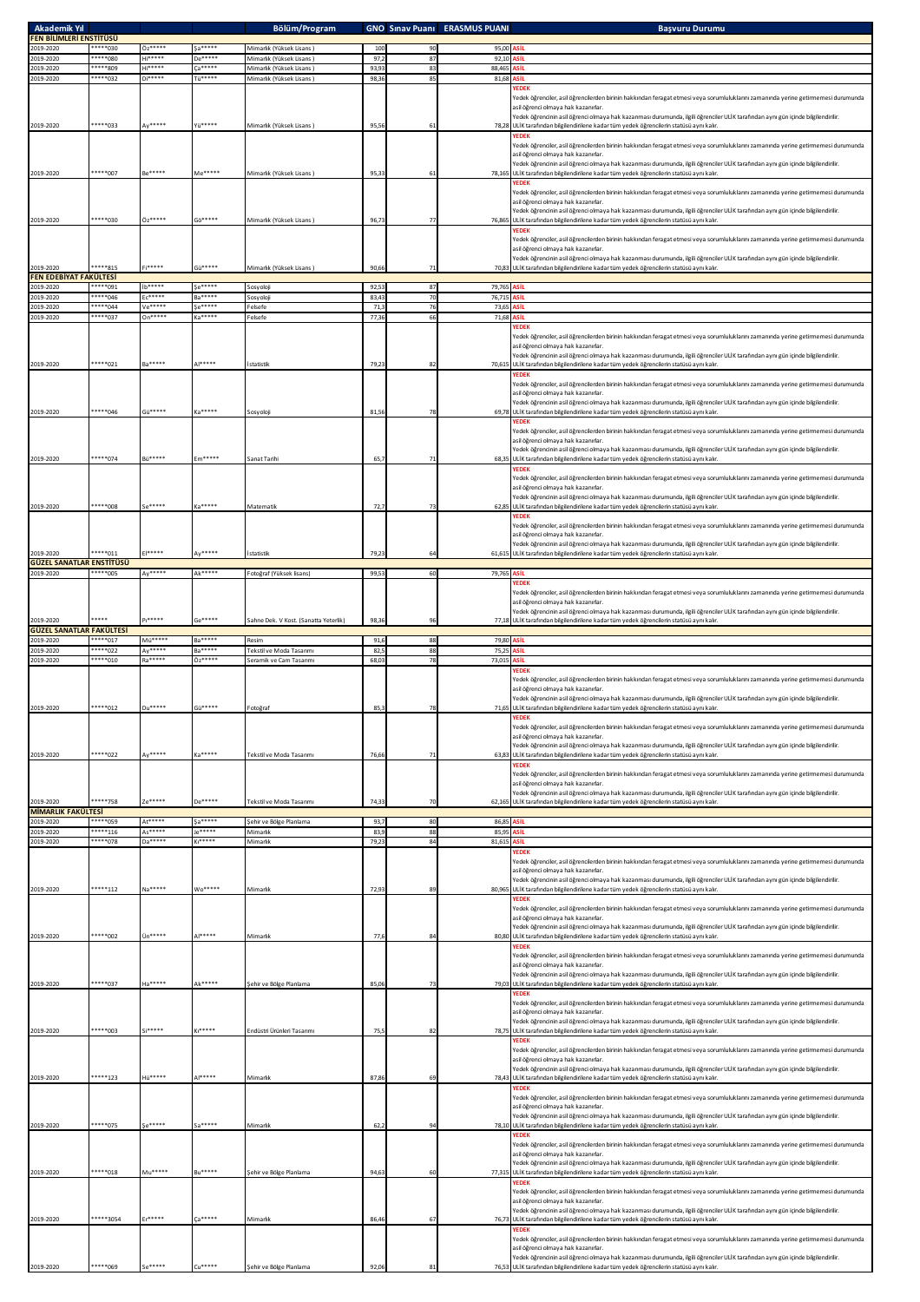| <b>Akademik Yıl</b><br>FEN BİLİMLERİ ENSTİTÜSÜ |                      |                           |                                | Bölüm/Program                                                     |                |          | <b>GNO Sinav Puani ERASMUS PUANI</b> | <b>Basvuru Durumu</b>                                                                                                                                                                                                                                                                                                                                                                                                              |
|------------------------------------------------|----------------------|---------------------------|--------------------------------|-------------------------------------------------------------------|----------------|----------|--------------------------------------|------------------------------------------------------------------------------------------------------------------------------------------------------------------------------------------------------------------------------------------------------------------------------------------------------------------------------------------------------------------------------------------------------------------------------------|
| 2019-2020                                      | *****030             | Öz*****                   | $S3***$                        | Mimarlık (Yüksek Lisans)                                          | 100            |          | 95.00                                | ASIL                                                                                                                                                                                                                                                                                                                                                                                                                               |
| 2019-2020<br>2019-2020                         | *****080<br>*****809 | <b>History</b><br>$H1***$ | De*****<br>Ca*****             | Mimarlık (Yüksek Lisans)<br>Mimarlık (Yüksek Lisans)              | 97,2<br>93,93  | 87<br>83 | 92,10<br>88,465                      |                                                                                                                                                                                                                                                                                                                                                                                                                                    |
| 2019-2020                                      | *****032             | $Di***$                   | Tü*****                        | Mimarlık (Yüksek Lisans)                                          | 98,36          | 85       | 81,68                                | ASİL                                                                                                                                                                                                                                                                                                                                                                                                                               |
| 2019-2020                                      | *****033             | $W***$                    | <i><b>General</b></i>          | Mimarlık (Yüksek Lisans)                                          | 95,5           |          |                                      | <b>YEDEK</b><br>Yedek öğrenciler, asil öğrencilerden birinin hakkından feragat etmesi veya sorumluluklarını zamanında yerine getirmemesi durumunda<br>asil öğrenci olmaya hak kazanırlar.<br>Yedek öğrencinin asil öğrenci olmaya hak kazanması durumunda, ilgili öğrenciler ULİK tarafından aynı gün içinde bilgilendirilir.<br>78,28 ULİK tarafından bilgilendirilene kadar tüm yedek öğrencilerin statüsü aynı kalır.           |
|                                                |                      |                           |                                |                                                                   |                |          |                                      | YEDEK<br>Yedek öğrenciler, asil öğrencilerden birinin hakkından feragat etmesi veya sorumluluklarını zamanında yerine getirmemesi durumunda<br>asil öğrenci olmaya hak kazanırlar.<br>Yedek öğrencinin asil öğrenci olmaya hak kazanması durumunda, ilgili öğrenciler ULİK tarafından aynı gün içinde bilgilendirilir.                                                                                                             |
| 2019-2020                                      | *****007             | <b>Be*****</b>            | Me*****                        | Mimarlık (Yüksek Lisans)                                          | 95.3           |          |                                      | 78,165 ULİK tarafından bilgilendirilene kadar tüm yedek öğrencilerin statüsü aynı kalır.<br><b>YEDEK</b><br>Yedek öğrenciler, asil öğrencilerden birinin hakkından feragat etmesi veya sorumluluklarını zamanında yerine getirmemesi durumunda                                                                                                                                                                                     |
| 2019-2020                                      | *****030             | Öz*****                   | $60*****$                      | Mimarlık (Yüksek Lisans)                                          | 96.7           |          | 76,865                               | asil öğrenci olmaya hak kazanırlar.<br>Yedek öğrencinin asil öğrenci olmaya hak kazanması durumunda, ilgili öğrenciler ULİK tarafından aynı gün içinde bilgilendirilir.<br>ULİK tarafından bilgilendirilene kadar tüm yedek öğrencilerin statüsü aynı kalır.                                                                                                                                                                       |
| 2019-2020                                      | *****815             | Fi*****                   | Gü*****                        | Mimarlık (Yüksek Lisans)                                          | 90,66          |          |                                      | fedek öğrenciler, asil öğrencilerden birinin hakkından feragat etmesi veya sorumluluklarını zamanında yerine getirmemesi durumunda<br>asil öğrenci olmaya hak kazanırlar.<br>fedek öğrencinin asil öğrenci olmaya hak kazanması durumunda, ilgili öğrenciler ULİK tarafından aynı gün içinde bilgilendirilir.<br>70,83 ULİK tarafından bilgilendirilene kadar tüm yedek öğrencilerin statüsü aynı kalır.                           |
| <b>FEN EDEBİYAT FAKÜLTESİ</b>                  |                      |                           |                                |                                                                   |                |          |                                      |                                                                                                                                                                                                                                                                                                                                                                                                                                    |
| 2019-2020<br>2019-2020                         | *****091<br>*****046 | ib*****<br>$E C***$       | Se*****<br><b>Ba*****</b>      | Sosyoloji<br>Sosyoloji                                            | 92,53<br>83,43 | 87       | 79,765<br>76,71                      | ASİL<br>۱si                                                                                                                                                                                                                                                                                                                                                                                                                        |
| 2019-2020                                      | *****044             | Ve*****                   | Se*****                        | Felsefe                                                           | 71,3           | 76       | 73,65                                | siı                                                                                                                                                                                                                                                                                                                                                                                                                                |
| 2019-2020<br>2019-2020                         | *****037<br>*****021 | On*****<br><b>Ra*****</b> | Ka*****<br>,,,,,,,             | Felsefe<br>statistik                                              | 77,36<br>79,2  | 66       | 71,68<br>70,61                       | κ'n<br><b>EDEK</b><br>redek öğrenciler, asil öğrencilerden birinin hakkından feragat etmesi veya sorumluluklarını zamanında yerine getirmemesi durumunda<br>asil öğrenci olmava hak kazanırlar.<br>fedek öğrencinin asil öğrenci olmaya hak kazanması durumunda, ilgili öğrenciler ULİK tarafından aynı gün içinde bilgilendirilir.<br>ULİK tarafından bilgilendirilene kadar tüm yedek öğrencilerin statüsü aynı kalır.           |
| 2019-2020                                      | *****046             | Gü*****                   | $a***$                         | Sosyoloji                                                         | 81.5           |          | 69,78                                | fedek öğrenciler, asil öğrencilerden birinin hakkından feragat etmesi veya sorumluluklarını zamanında yerine getirmemesi durumunda<br>asil öğrenci olmaya hak kazanırlar.<br>.<br>redek öğrencinin asil öğrenci olmaya hak kazanması durumunda, ilgili öğrenciler ULİK tarafından aynı gün içinde bilgilendirilir.<br>ULİK tarafından bilgilendirilene kadar tüm yedek öğrencilerin statüsü aynı kalır.                            |
|                                                |                      |                           |                                |                                                                   |                |          |                                      | <b>FDFK</b><br>.<br>Yedek öğrenciler, asil öğrencilerden birinin hakkından feragat etmesi veya sorumluluklarını zamanında yerine getirmemesi durumunda<br>asil öğrenci olmaya hak kazanırlar.<br>.<br>Yedek öğrencinin asil öğrenci olmaya hak kazanması durumunda, ilgili öğrenciler ULİK tarafından aynı gün içinde bilgilendirilir.                                                                                             |
| 2019-2020                                      | *****074             | <b>Bü*****</b>            | Em*****                        | Sanat Tarihi                                                      | 65.7           |          |                                      | 68,35 ULİK tarafından bilgilendirilene kadar tüm yedek öğrencilerin statüsü aynı kalır.<br>YEDEK<br>Yedek öğrenciler, asil öğrencilerden birinin hakkından feragat etmesi veya sorumluluklarını zamanında yerine getirmemesi durumunda<br>asil öğrenci olmaya hak kazanırlar.                                                                                                                                                      |
| 2019-2020                                      | *****008             | $5e***$                   | Kassess                        | Matematik                                                         | 72,7           |          |                                      | Yedek öğrencinin asil öğrenci olmaya hak kazanması durumunda, ilgili öğrenciler ULİK tarafından aynı gün içinde bilgilendirilir.<br>62,85 ULİK tarafından bilgilendirilene kadar tüm yedek öğrencilerin statüsü aynı kalır.<br><b>YEDEK</b>                                                                                                                                                                                        |
| 2019-2020                                      | *****011             | E                         | Av*****                        | statistik                                                         | 79,2           |          |                                      | Yedek öğrenciler, asil öğrencilerden birinin hakkından feragat etmesi veya sorumluluklarını zamanında yerine getirmemesi durumunda<br>asil öğrenci olmaya hak kazanırlar.<br>Yedek öğrencinin asil öğrenci olmaya hak kazanması durumunda, ilgili öğrenciler ULİK tarafından aynı gün içinde bilgilendirilir.<br>61,615 ULİK tarafından bilgilendirilene kadar tüm yedek öğrencilerin statüsü aynı kalır.                          |
| <b>GÜZEL SANATLAR ENSTITÜSÜ</b>                | *****005             | Ay*****                   | Ak*****                        |                                                                   |                | 60       |                                      |                                                                                                                                                                                                                                                                                                                                                                                                                                    |
| 2019-2020<br>2019-2020                         |                      | $P_1***$                  | $GP****$                       | Fotoğraf (Yüksek lisans)<br>Sahne Dek. V Kost. (Sanatta Yeterlik) | 99,53<br>98,36 |          | 79,765<br>77,18                      | <b>EDEK</b><br>fedek öğrenciler, asil öğrencilerden birinin hakkından feragat etmesi veya sorumluluklarını zamanında yerine getirmemesi durumunda<br>asil öğrenci olmaya hak kazanırlar.<br>fedek öğrencinin asil öğrenci olmaya hak kazanması durumunda, ilgili öğrenciler ULİK tarafından aynı gün içinde bilgilendirilir.<br>ULİK tarafından bilgilendirilene kadar tüm yedek öğrencilerin statüsü aynı kalır.                  |
| <b>GÜZEL SANATLAR FAKÜLTESİ</b>                |                      |                           |                                |                                                                   |                |          |                                      |                                                                                                                                                                                                                                                                                                                                                                                                                                    |
| 2019-2020<br>2019-2020                         | *****017<br>*****022 | $M\ddot{u}***$<br>Ay***** | Ba*****<br><b>Ba*****</b>      | Resim<br>Tekstil ve Moda Tasanmı                                  | 91,6<br>82,5   | 88<br>88 | 79,80 ASIL<br>75,2                   | siı                                                                                                                                                                                                                                                                                                                                                                                                                                |
| 2019-2020                                      | *****010             | Ra*****                   | Öz*****                        | Seramik ve Cam Tasarımı                                           | 68,03          | 78       | 73,015                               | κ'n                                                                                                                                                                                                                                                                                                                                                                                                                                |
| 2019-2020                                      | *****012             | $Du***$                   | $G\ddot{u}***$                 | Fotoğraf                                                          | 85,3           |          | 71,65                                | fedek öğrenciler, asil öğrencilerden birinin hakkından feragat etmesi veya sorumluluklarını zamanında yerine getirmemesi durumunda<br>asil öğrenci olmava hak kazanırlar.<br>fedek öğrencinin asil öğrenci olmaya hak kazanması durumunda, ilgili öğrenciler ULİK tarafından aynı gün içinde bilgilendirilir.<br>ULİK tarafından bilgilendirilene kadar tüm yedek öğrencilerin statüsü aynı kalır.                                 |
| 2019-2020                                      | *****022             | Ay*****                   | Ka*****                        | Tekstil ve Moda Tasanmı                                           | 76,66          |          |                                      | fedek öğrenciler, asil öğrencilerden birinin hakkından feragat etmesi veya sorumluluklarını zamanında yerine getirmemesi durumunda<br>asil öğrenci olmaya hak kazanırlar.<br>.<br>redek öğrencinin asil öğrenci olmaya hak kazanması durumunda, ilgili öğrenciler ULİK tarafından aynı gün içinde bilgilendirilir.<br>63,83 ULİK tarafından bilgilendirilene kadar tüm yedek öğrencilerin statüsü aynı kalır.                      |
| 2019-2020                                      | *****758             | $ze***$                   | De*****                        | Tekstil ve Moda Tasanmı                                           | 74.33          | 70       |                                      | <b>EDEK</b><br>Yedek öğrenciler, asil öğrencilerden birinin hakkından feragat etmesi veya sorumluluklarını zamanında yerine getirmemesi durumunda<br>asil öğrenci olmaya hak kazanırlar.<br>Yedek öğrencinin asil öğrenci olmaya hak kazanması durumunda, ilgili öğrenciler ULİK tarafından aynı gün içinde bilgilendirilir.<br>62,165 ULİK tarafından bilgilendirilene kadar tüm yedek öğrencilerin statüsü aynı kalır.           |
| <b>MİMARLIK FAKÜLTESİ</b><br>2019-2020         | *****059             | At*****                   | Sa*****                        | Sehir ve Bölge Planlama                                           | 93,7           | 80       | 86,85                                |                                                                                                                                                                                                                                                                                                                                                                                                                                    |
| 2019-2020                                      | ***** 116            | As*****                   | Je*****                        | Mimarlık                                                          | 83,9           | 88       | 85,99                                | sit                                                                                                                                                                                                                                                                                                                                                                                                                                |
| 2019-2020<br>2019-2020                         | *****078<br>*****112 | Da*****<br>Na*****        | Ki <sub>*****</sub><br>Wo***** | Mimarlık<br>Mimarlık                                              | 79,23<br>72.9  | 84       | 81,615<br>80,965                     | siı<br><b>EDEK</b><br>.<br>fedek öğrenciler, asil öğrencilerden birinin hakkından feragat etmesi veya sorumluluklarını zamanında yerine getirmemesi durumunda<br>asil öğrenci olmaya hak kazanırlar.<br>.<br>Yedek öğrencinin asil öğrenci olmaya hak kazanması durumunda, ilgili öğrenciler ULİK tarafından aynı gün içinde bilgilendirilir.<br>ULİK tarafından bilgilendirilene kadar tüm yedek öğrencilerin statüsü aynı kalır. |
| 2019-2020                                      | *****002             | Ün*****                   | $\Delta$  *****                | Mimarlık                                                          | 77,6           |          |                                      | <b>/EDEK</b><br>.<br>fedek öğrenciler, asil öğrencilerden birinin hakkından feragat etmesi veya sorumluluklarını zamanında yerine getirmemesi durumunda<br>asil öğrenci olmaya hak kazanırlar.<br>fedek öğrencinin asil öğrenci olmaya hak kazanması durumunda, ilgili öğrenciler ULİK tarafından aynı gün içinde bilgilendirilir.<br>80,80 ULİK tarafından bilgilendirilene kadar tüm yedek öğrencilerin statüsü aynı kalır.      |
|                                                | *****037             | Ha*****                   | Ak*****                        |                                                                   |                |          |                                      | YEDEK<br>Yedek öğrenciler, asil öğrencilerden birinin hakkından feragat etmesi veya sorumluluklarını zamanında yerine getirmemesi durumunda<br>asil öğrenci olmaya hak kazanırlar.<br>Yedek öğrencinin asil öğrenci olmaya hak kazanması durumunda, ilgili öğrenciler ULİK tarafından aynı gün içinde bilgilendirilir.                                                                                                             |
| 2019-2020                                      |                      |                           |                                | Sehir ve Bölge Planlama                                           | 85,06          |          |                                      | 79,03 ULİK tarafından bilgilendirilene kadar tüm yedek öğrencilerin statüsü aynı kalır.<br><b>YEDEK</b><br>Yedek öğrenciler, asil öğrencilerden birinin hakkından feragat etmesi veya sorumluluklarını zamanında yerine getirmemesi durumunda<br>asil öğrenci olmaya hak kazanırlar.<br>Yedek öğrencinin asil öğrenci olmaya hak kazanması durumunda, ilgili öğrenciler ULİK tarafından aynı gün içinde bilgilendirilir.           |
| 2019-2020                                      | *****003             | Sieeene                   | $K1***$                        | Endüstri Ürünleri Tasarımı                                        | 75,5           |          | 78.7                                 | ULİK tarafından bilgilendirilene kadar tüm yedek öğrencilerin statüsü aynı kalır.<br><b>FDEK</b><br>Yedek öğrenciler, asil öğrencilerden birinin hakkından feragat etmesi veya sorumluluklarını zamanında yerine getirmemesi durumunda<br>asil öğrenci olmaya hak kazanırlar.                                                                                                                                                      |
| 2019-2020                                      | *****123             | <b>Hü*****</b>            | $\Delta$  *****                | Mimarlık                                                          | 87,86          |          | 78,43                                | Yedek öğrencinin asil öğrenci olmaya hak kazanması durumunda, ilgili öğrenciler ULİK tarafından aynı gün içinde bilgilendirilir.<br>ULİK tarafından bilgilendirilene kadar tüm yedek öğrencilerin statüsü aynı kalır.<br>fedek öğrenciler, asil öğrencilerden birinin hakkından feragat etmesi veya sorumluluklarını zamanında yerine getirmemesi durumunda<br>asil öğrenci olmaya hak kazanırlar.                                 |
| 2019-2020                                      | *****075             | $S_{P}$ *****             | $a***$                         | Mimarlık                                                          | 62,7           |          | 78,10                                | fedek öğrencinin asil öğrenci olmaya hak kazanması durumunda, ilgili öğrenciler ULİK tarafından aynı gün içinde bilgilendirilir.<br>ULİK tarafından bilgilendirilene kadar tüm yedek öğrencilerin statüsü aynı kalır.<br><b>FDFK</b><br>fedek öğrenciler, asil öğrencilerden birinin hakkından feragat etmesi veya sorumluluklarını zamanında yerine getirmemesi durumunda                                                         |
| 2019-2020                                      | *****018             | Mu*****                   | Bu*****                        | ehir ve Bölge Planlama                                            | 94,63          |          | 77,31                                | asil öğrenci olmaya hak kazanırlar.<br>.<br>redek öğrencinin asil öğrenci olmaya hak kazanması durumunda, ilgili öğrenciler ULİK tarafından aynı gün içinde bilgilendirilir.<br>ULİK tarafından bilgilendirilene kadar tüm yedek öğrencilerin statüsü aynı kalır.<br><b>YEDEK</b>                                                                                                                                                  |
| 2019-2020                                      | *****3054            | 2,00000                   | 7388888                        | Mimarlık                                                          | 86.46          | 67       | 76.73                                | Yedek öğrenciler, asil öğrencilerden birinin hakkından feragat etmesi veya sorumluluklarını zamanında yerine getirmemesi durumunda<br>asil öğrenci olmaya hak kazanırlar.<br>Yedek öğrencinin asil öğrenci olmaya hak kazanması durumunda, ilgili öğrenciler ULİK tarafından aynı gün içinde bilgilendirilir.<br>ULİK tarafından bilgilendirilene kadar tüm yedek öğrencilerin statüsü aynı kalır.                                 |
|                                                |                      |                           |                                |                                                                   |                |          |                                      | YEDEK<br>Yedek öğrenciler, asil öğrencilerden birinin hakkından feragat etmesi veya sorumluluklarını zamanında yerine getirmemesi durumunda<br>asil öğrenci olmaya hak kazanırlar.<br>Yedek öğrencinin asil öğrenci olmaya hak kazanması durumunda, ilgili öğrenciler ULİK tarafından aynı gün içinde bilgilendirilir.                                                                                                             |
| 2019-2020                                      | *****069             | $n***$                    | Cu <sup>eeae</sup>             | ehir ve Bölge Planlama                                            | 92,06          |          |                                      | 76,53 ULİK tarafından bilgilendirilene kadar tüm yedek öğrencilerin statüsü aynı kalır.                                                                                                                                                                                                                                                                                                                                            |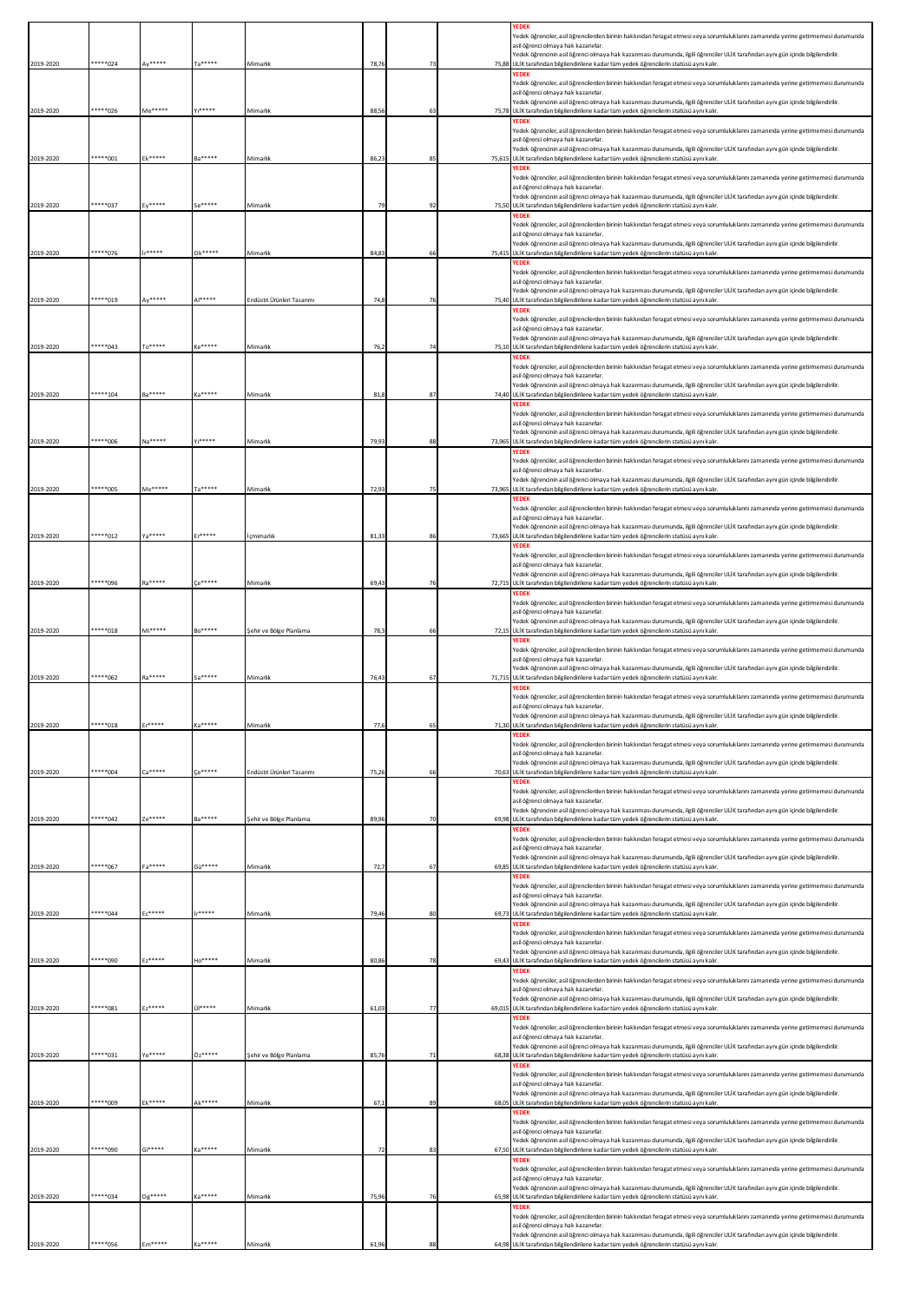|           |          |         |                     |                            |       |        | <b>YEDEK</b><br>Yedek öğrenciler, asil öğrencilerden birinin hakkından feragat etmesi veya sorumluluklarını zamanında yerine getirmemesi durumunda                                                                               |
|-----------|----------|---------|---------------------|----------------------------|-------|--------|----------------------------------------------------------------------------------------------------------------------------------------------------------------------------------------------------------------------------------|
|           |          |         |                     |                            |       |        | asil öğrenci olmaya hak kazanırlar.<br>Yedek öğrencinin asil öğrenci olmaya hak kazanması durumunda, ilgili öğrenciler ULİK tarafından aynı gün içinde bilgilendirilir.                                                          |
| 2019-2020 | *****024 | Av***** | 5                   | Mimarlık                   | 78.76 | 75.88  | ULİK tarafından bilgilendirilene kadar tüm yedek öğrencilerin statüsü aynı kalır.<br>YEDEK                                                                                                                                       |
|           |          |         |                     |                            |       |        | Yedek öğrenciler, asil öğrencilerden birinin hakkından feragat etmesi veya sorumluluklarını zamanında yerine getirmemesi durumunda<br>asil öğrenci olmaya hak kazanırlar.                                                        |
| 2019-2020 | *****026 | Me***** | $v_1$ *****         | Mimarlık                   | 88.56 | 75,78  | Yedek öğrencinin asil öğrenci olmaya hak kazanması durumunda, ilgili öğrenciler ULİK tarafından aynı gün içinde bilgilendirilir.<br>ULİK tarafından bilgilendirilene kadar tüm yedek öğrencilerin statüsü aynı kalır.            |
|           |          |         |                     |                            |       |        | <b>YEDEK</b>                                                                                                                                                                                                                     |
|           |          |         |                     |                            |       |        | Yedek öğrenciler, asil öğrencilerden birinin hakkından feragat etmesi veya sorumluluklarını zamanında yerine getirmemesi durumunda<br>asil öğrenci olmaya hak kazanırlar.                                                        |
| 2019-2020 | *****001 | Ek***** | Ba*****             | Mimarlık                   | 86.2  | 75.615 | Yedek öğrencinin asil öğrenci olmaya hak kazanması durumunda, ilgili öğrenciler ULİK tarafından aynı gün içinde bilgilendirilir.<br>ULİK tarafından bilgilendirilene kadar tüm yedek öğrencilerin statüsü aynı kalır.            |
|           |          |         |                     |                            |       |        | Yedek öğrenciler, asil öğrencilerden birinin hakkından feragat etmesi veya sorumluluklarını zamanında yerine getirmemesi durumunda                                                                                               |
|           |          |         |                     |                            |       |        | asil öğrenci olmaya hak kazanırlar.<br>Yedek öğrencinin asil öğrenci olmaya hak kazanması durumunda, ilgili öğrenciler ULİK tarafından aynı gün içinde bilgilendirilir.                                                          |
| 2019-2020 | *****037 | Ev***** |                     | Mimarlık                   | 79    | 75.50  | ULİK tarafından bilgilendirilene kadar tüm yedek öğrencilerin statüsü aynı kalır.                                                                                                                                                |
|           |          |         |                     |                            |       |        | Yedek öğrenciler, asil öğrencilerden birinin hakkından feragat etmesi veya sorumluluklarını zamanında yerine getirmemesi durumunda                                                                                               |
|           |          |         |                     |                            |       |        | asil öğrenci olmaya hak kazanırlar.<br>.<br>Yedek öğrencinin asil öğrenci olmaya hak kazanması durumunda, ilgili öğrenciler ULİK tarafından aynı gün içinde bilgilendirilir.                                                     |
| 2019-2020 | *****076 | ,,,,,,  | Ok*****             | Mimarlık                   | 84,8  | 75,41  | ULİK tarafından bilgilendirilene kadar tüm yedek öğrencilerin statüsü aynı kalır.<br><b>'EDEK</b>                                                                                                                                |
|           |          |         |                     |                            |       |        | Yedek öğrenciler, asil öğrencilerden birinin hakkından feragat etmesi veya sorumluluklarını zamanında yerine getirmemesi durumunda<br>asil öğrenci olmava hak kazanırlar.                                                        |
| 2019-2020 | ****019  | $4v***$ | 1                   | ndüstri Ürünleri Tasarımı  | 74.8  | 75.40  | .<br>Yedek öğrencinin asil öğrenci olmaya hak kazanması durumunda, ilgili öğrenciler ULİK tarafından aynı gün içinde bilgilendirilir.<br>ULİK tarafından bilgilendirilene kadar tüm yedek öğrencilerin statüsü aynı kalır.       |
|           |          |         |                     |                            |       |        | <b>YEDEK</b><br>Yedek öğrenciler, asil öğrencilerden birinin hakkından feragat etmesi veya sorumluluklarını zamanında yerine getirmemesi durumunda                                                                               |
|           |          |         |                     |                            |       |        | asil öğrenci olmaya hak kazanırlar.                                                                                                                                                                                              |
| 2019-2020 | *****043 | To***** | $K_0$ *****         | Mimarlık                   | 76.   |        | .<br>Yedek öğrencinin asil öğrenci olmaya hak kazanması durumunda, ilgili öğrenciler ULİK tarafından aynı gün içinde bilgilendirilir.<br>75,10 ULİK tarafından bilgilendirilene kadar tüm yedek öğrencilerin statüsü aynı kalır. |
|           |          |         |                     |                            |       |        | YEDEK<br>Yedek öğrenciler, asil öğrencilerden birinin hakkından feragat etmesi veya sorumluluklarını zamanında yerine getirmemesi durumunda                                                                                      |
|           |          |         |                     |                            |       |        | asil öğrenci olmaya hak kazanırlar.<br>Yedek öğrencinin asil öğrenci olmaya hak kazanması durumunda, ilgili öğrenciler ULİK tarafından aynı gün içinde bilgilendirilir.                                                          |
| 2019-2020 | *****104 | Ba***** | $a***$              | Mimarlık                   | 81.   |        | 74,40 ULİK tarafından bilgilendirilene kadar tüm yedek öğrencilerin statüsü aynı kalır.<br><b>YEDEK</b>                                                                                                                          |
|           |          |         |                     |                            |       |        | Yedek öğrenciler, asil öğrencilerden birinin hakkından feragat etmesi veya sorumluluklarını zamanında yerine getirmemesi durumunda<br>asil öğrenci olmaya hak kazanırlar.                                                        |
|           |          |         |                     |                            |       |        | Yedek öğrencinin asil öğrenci olmaya hak kazanması durumunda, ilgili öğrenciler ULİK tarafından aynı gün içinde bilgilendirilir.                                                                                                 |
| 2019-2020 | **** 006 | Na***** | Yı*****             | Mimarlık                   | 79,93 | 73.965 | ULİK tarafından bilgilendirilene kadar tüm yedek öğrencilerin statüsü aynı kalır.<br><b>YEDEK</b>                                                                                                                                |
|           |          |         |                     |                            |       |        | Yedek öğrenciler, asil öğrencilerden birinin hakkından feragat etmesi veya sorumluluklarını zamanında yerine getirmemesi durumunda<br>asil öğrenci olmaya hak kazanırlar.                                                        |
| 2019-2020 | *****005 | Me***** | Ta*****             | Mimarlık                   | 72,93 | 73,965 | Yedek öğrencinin asil öğrenci olmaya hak kazanması durumunda, ilgili öğrenciler ULİK tarafından aynı gün içinde bilgilendirilir.<br>ULİK tarafından bilgilendirilene kadar tüm yedek öğrencilerin statüsü aynı kalır.            |
|           |          |         |                     |                            |       |        | <b>YEDEK</b>                                                                                                                                                                                                                     |
|           |          |         |                     |                            |       |        | Yedek öğrenciler, asil öğrencilerden birinin hakkından feragat etmesi veya sorumluluklarını zamanında yerine getirmemesi durumunda<br>asil öğrenci olmaya hak kazanırlar.                                                        |
| 2019-2020 | *****012 | Ya***** | $E+***$             | çmimarlık                  | 81.33 | 73,66  | Yedek öğrencinin asil öğrenci olmaya hak kazanması durumunda, ilgili öğrenciler ULİK tarafından aynı gün içinde bilgilendirilir.<br>ULİK tarafından bilgilendirilene kadar tüm yedek öğrencilerin statüsü aynı kalır.            |
|           |          |         |                     |                            |       |        | <b>YEDEK</b><br>Yedek öğrenciler, asil öğrencilerden birinin hakkından feragat etmesi veya sorumluluklarını zamanında yerine getirmemesi durumunda                                                                               |
|           |          |         |                     |                            |       |        | asil öğrenci olmaya hak kazanırlar.<br>Yedek öğrencinin asil öğrenci olmaya hak kazanması durumunda, ilgili öğrenciler ULİK tarafından aynı gün içinde bilgilendirilir.                                                          |
| 2019-2020 | *****096 | Ra***** | 0                   | Mimarlık                   | 69.43 | 72,715 | ULİK tarafından bilgilendirilene kadar tüm yedek öğrencilerin statüsü aynı kalır.                                                                                                                                                |
|           |          |         |                     |                            |       |        | YEDEK<br>Yedek öğrenciler, asil öğrencilerden birinin hakkından feragat etmesi veya sorumluluklarını zamanında yerine getirmemesi durumunda                                                                                      |
|           |          |         |                     |                            |       |        | asil öğrenci olmaya hak kazanırlar.<br>Yedek öğrencinin asil öğrenci olmaya hak kazanması durumunda, ilgili öğrenciler ULİK tarafından aynı gün içinde bilgilendirilir.                                                          |
| 2019-2020 | *****018 | $Mi***$ | <b>Bo*****</b>      | Sehir ve Bölge Planlama    | 78,   | 72,15  | ULİK tarafından bilgilendirilene kadar tüm yedek öğrencilerin statüsü aynı kalır.<br><b>YEDEK</b>                                                                                                                                |
|           |          |         |                     |                            |       |        | Yedek öğrenciler, asil öğrencilerden birinin hakkından feragat etmesi veya sorumluluklarını zamanında yerine getirmemesi durumunda<br>asil öğrenci olmaya hak kazanırlar.                                                        |
| 2019-2020 | *****062 | Ra***** | ia*****             | Mimarlık                   | 76,43 | 71.71  | Yedek öğrencinin asil öğrenci olmaya hak kazanması durumunda, ilgili öğrenciler ULİK tarafından aynı gün içinde bilgilendirilir.<br>ULİK tarafından bilgilendirilene kadar tüm yedek öğrencilerin statüsü aynı kalır.            |
|           |          |         |                     |                            |       |        | <b>FDEK</b>                                                                                                                                                                                                                      |
|           |          |         |                     |                            |       |        | Yedek öğrenciler, asil öğrencilerden birinin hakkından feragat etmesi veya sorumluluklarını zamanında yerine getirmemesi durumunda<br>asil öğrenci olmaya hak kazanırlar.                                                        |
| 2019-2020 | *****018 | $Er***$ | Ka*****             | Mimarlık                   | 77,6  | 71,30  | edek öğrencinin asil öğrenci olmaya hak kazanması durumunda, ilgili öğrenciler ULİK tarafından aynı gün içinde bilgilendirilir.<br>ULİK tarafından bilgilendirilene kadar tüm yedek öğrencilerin statüsü aynı kalır.             |
|           |          |         |                     |                            |       |        | Yedek öğrenciler, asil öğrencilerden birinin hakkından feragat etmesi veya sorumluluklarını zamanında yerine getirmemesi durumunda                                                                                               |
|           |          |         |                     |                            |       |        | asil öğrenci olmaya hak kazanırlar.<br>Yedek öğrencinin asil öğrenci olmaya hak kazanması durumunda, ilgili öğrenciler ULİK tarafından aynı gün içinde bilgilendirilir.                                                          |
| 2019-2020 | *****004 | $Ca***$ | 0                   | ndüstri Ürünleri Tasarımı: | 75,26 | 70,63  | ULİK tarafından bilgilendirilene kadar tüm yedek öğrencilerin statüsü aynı kalır.                                                                                                                                                |
|           |          |         |                     |                            |       |        | Yedek öğrenciler, asil öğrencilerden birinin hakkından feragat etmesi veya sorumluluklarını zamanında yerine getirmemesi durumunda                                                                                               |
|           |          |         |                     |                            |       |        | asil öğrenci olmaya hak kazanırlar.<br>.<br>Yedek öğrencinin asil öğrenci olmaya hak kazanması durumunda, ilgili öğrenciler ULİK tarafından aynı gün içinde bilgilendirilir.                                                     |
| 2019-2020 | *****042 | $ze***$ | <b>Ba*****</b>      | ehir ve Bölge Planlama     | 89,96 | 69.98  | ULİK tarafından bilgilendirilene kadar tüm yedek öğrencilerin statüsü aynı kalır.<br><b>YEDEK</b>                                                                                                                                |
|           |          |         |                     |                            |       |        | Yedek öğrenciler, asil öğrencilerden birinin hakkından feragat etmesi veya sorumluluklarını zamanında yerine getirmemesi durumunda<br>asil öğrenci olmaya hak kazanırlar.                                                        |
|           | *****067 | Fa***** | $\frac{1}{2}$       | Mimarlık                   | 72.7  | 69,85  | Yedek öğrencinin asil öğrenci olmaya hak kazanması durumunda, ilgili öğrenciler ULİK tarafından aynı gün içinde bilgilendirilir.                                                                                                 |
| 2019-2020 |          |         |                     |                            |       |        | ULİK tarafından bilgilendirilene kadar tüm yedek öğrencilerin statüsü aynı kalır.<br>YEDEK                                                                                                                                       |
|           |          |         |                     |                            |       |        | Yedek öğrenciler, asil öğrencilerden birinin hakkından feragat etmesi veya sorumluluklarını zamanında yerine getirmemesi durumunda<br>asil öğrenci olmaya hak kazanırlar.                                                        |
| 2019-2020 | *****044 | معمعين  | ,,,,,,              | Mimarlık                   | 79,46 |        | .<br>Yedek öğrencinin asil öğrenci olmaya hak kazanması durumunda, ilgili öğrenciler ULİK tarafından aynı gün içinde bilgilendirilir.<br>69,73 ULİK tarafından bilgilendirilene kadar tüm yedek öğrencilerin statüsü aynı kalır. |
|           |          |         |                     |                            |       |        | YEDEK<br>.<br>Yedek öğrenciler, asil öğrencilerden birinin hakkından feragat etmesi veya sorumluluklarını zamanında yerine getirmemesi durumunda                                                                                 |
|           |          |         |                     |                            |       |        | asil öğrenci olmaya hak kazanırlar.<br>.<br>Yedek öğrencinin asil öğrenci olmaya hak kazanması durumunda, ilgili öğrenciler ULİK tarafından aynı gün içinde bilgilendirilir.                                                     |
| 2019-2020 | ****090  | $Ez***$ | Ho*****             | Mimarlık                   | 80,8  | 69.43  | ULİK tarafından bilgilendirilene kadar tüm yedek öğrencilerin statüsü aynı kalır.                                                                                                                                                |
|           |          |         |                     |                            |       |        | <b>YEDEK</b><br>Yedek öğrenciler, asil öğrencilerden birinin hakkından feragat etmesi veya sorumluluklarını zamanında yerine getirmemesi durumunda                                                                               |
|           |          |         |                     |                            |       |        | asil öğrenci olmaya hak kazanırlar.<br>Yedek öğrencinin asil öğrenci olmaya hak kazanması durumunda, ilgili öğrenciler ULİK tarafından aynı gün içinde bilgilendirilir.                                                          |
| 2019-2020 | *****081 | $Ez***$ | <b>illeaaaa</b>     | Mimarlık                   | 61,03 | 69,01  | ULİK tarafından bilgilendirilene kadar tüm yedek öğrencilerin statüsü aynı kalır.<br><b>YEDEK</b>                                                                                                                                |
|           |          |         |                     |                            |       |        | Yedek öğrenciler, asil öğrencilerden birinin hakkından feragat etmesi veya sorumluluklarını zamanında yerine getirmemesi durumunda<br>asil öğrenci olmaya hak kazanırlar.                                                        |
|           |          |         |                     |                            |       |        | Yedek öğrencinin asil öğrenci olmaya hak kazanması durumunda, ilgili öğrenciler ULİK tarafından aynı gün içinde bilgilendirilir.                                                                                                 |
| 2019-2020 | *****031 | Ye***** | Öz*****             | Sehir ve Bölge Planlama    | 85,76 | 68.38  | ULİK tarafından bilgilendirilene kadar tüm yedek öğrencilerin statüsü aynı kalır.<br><b>YEDEK</b>                                                                                                                                |
|           |          |         |                     |                            |       |        | Yedek öğrenciler, asil öğrencilerden birinin hakkından feragat etmesi veya sorumluluklarını zamanında yerine getirmemesi durumunda<br>asil öğrenci olmaya hak kazanırlar.                                                        |
| 2019-2020 | *****009 | Ek***** | Ak*****             | Mimarlık                   | 67    | 68.0   | Yedek öğrencinin asil öğrenci olmaya hak kazanması durumunda, ilgili öğrenciler ULİK tarafından aynı gün içinde bilgilendirilir.<br>ULİK tarafından bilgilendirilene kadar tüm yedek öğrencilerin statüsü aynı kalır.            |
|           |          |         |                     |                            |       |        | YEDEK<br>Yedek öğrenciler, asil öğrencilerden birinin hakkından feragat etmesi veya sorumluluklarını zamanında yerine getirmemesi durumunda                                                                                      |
|           |          |         |                     |                            |       |        | asil öğrenci olmaya hak kazanırlar.                                                                                                                                                                                              |
| 2019-2020 | *****090 | Gi***** | $a***$              | Mimarlık                   |       | 67,50  | Yedek öğrencinin asil öğrenci olmaya hak kazanması durumunda, ilgili öğrenciler ULİK tarafından aynı gün içinde bilgilendirilir.<br>ULİK tarafından bilgilendirilene kadar tüm yedek öğrencilerin statüsü aynı kalır.            |
|           |          |         |                     |                            |       |        | YEDEK<br>Yedek öğrenciler, asil öğrencilerden birinin hakkından feragat etmesi veya sorumluluklarını zamanında yerine getirmemesi durumunda                                                                                      |
|           |          |         |                     |                            |       |        | asil öğrenci olmaya hak kazanırlar.<br>.<br>Yedek öğrencinin asil öğrenci olmaya hak kazanması durumunda, ilgili öğrenciler ULİK tarafından aynı gün içinde bilgilendirilir.                                                     |
| 2019-2020 | *****034 | Og***** | $a***$              | Mimarlık                   | 75.96 | 65.98  | ULİK tarafından bilgilendirilene kadar tüm yedek öğrencilerin statüsü aynı kalır.<br>YEDEK                                                                                                                                       |
|           |          |         |                     |                            |       |        | Yedek öğrenciler, asil öğrencilerden birinin hakkından feragat etmesi veya sorumluluklarını zamanında yerine getirmemesi durumunda<br>asil öğrenci olmaya hak kazanırlar.                                                        |
|           | *****056 | $Em***$ | Ka <sup>nasas</sup> | Mimarlık                   | 61,96 | 64.98  | Yedek öğrencinin asil öğrenci olmaya hak kazanması durumunda, ilgili öğrenciler ULİK tarafından aynı gün içinde bilgilendirilir.<br>ULİK tarafından bilgilendirilene kadar tüm yedek öğrencilerin statüsü aynı kalır.            |
| 2019-2020 |          |         |                     |                            |       |        |                                                                                                                                                                                                                                  |